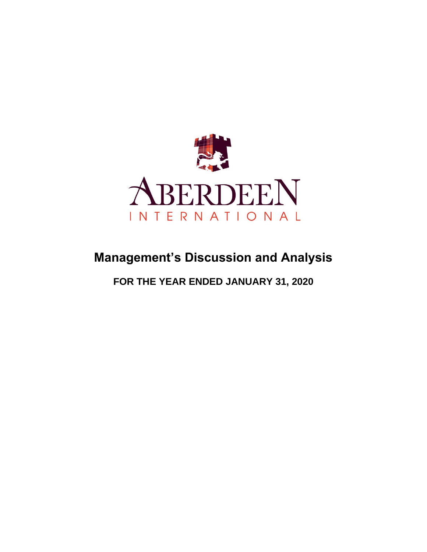

# **Management's Discussion and Analysis**

**FOR THE YEAR ENDED JANUARY 31, 2020**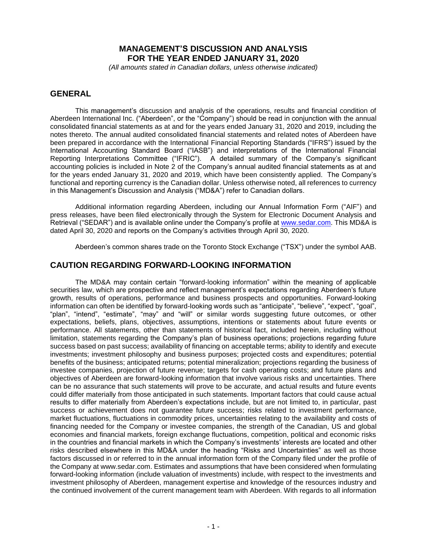# **MANAGEMENT'S DISCUSSION AND ANALYSIS FOR THE YEAR ENDED JANUARY 31, 2020**

*(All amounts stated in Canadian dollars, unless otherwise indicated)*

### **GENERAL**

This management's discussion and analysis of the operations, results and financial condition of Aberdeen International Inc. ("Aberdeen", or the "Company") should be read in conjunction with the annual consolidated financial statements as at and for the years ended January 31, 2020 and 2019, including the notes thereto. The annual audited consolidated financial statements and related notes of Aberdeen have been prepared in accordance with the International Financial Reporting Standards ("IFRS") issued by the International Accounting Standard Board ("IASB") and interpretations of the International Financial Reporting Interpretations Committee ("IFRIC"). A detailed summary of the Company's significant accounting policies is included in Note 2 of the Company's annual audited financial statements as at and for the years ended January 31, 2020 and 2019, which have been consistently applied. The Company's functional and reporting currency is the Canadian dollar. Unless otherwise noted, all references to currency in this Management's Discussion and Analysis ("MD&A") refer to Canadian dollars.

Additional information regarding Aberdeen, including our Annual Information Form ("AIF") and press releases, have been filed electronically through the System for Electronic Document Analysis and Retrieval ("SEDAR") and is available online under the Company's profile at [www.sedar.com.](http://www.sedar.com/) This MD&A is dated April 30, 2020 and reports on the Company's activities through April 30, 2020.

Aberdeen's common shares trade on the Toronto Stock Exchange ("TSX") under the symbol AAB.

### **CAUTION REGARDING FORWARD-LOOKING INFORMATION**

The MD&A may contain certain "forward-looking information" within the meaning of applicable securities law, which are prospective and reflect management's expectations regarding Aberdeen's future growth, results of operations, performance and business prospects and opportunities. Forward-looking information can often be identified by forward-looking words such as "anticipate", "believe", "expect", "goal", "plan", "intend", "estimate", "may" and "will" or similar words suggesting future outcomes, or other expectations, beliefs, plans, objectives, assumptions, intentions or statements about future events or performance. All statements, other than statements of historical fact, included herein, including without limitation, statements regarding the Company's plan of business operations; projections regarding future success based on past success; availability of financing on acceptable terms; ability to identify and execute investments; investment philosophy and business purposes; projected costs and expenditures; potential benefits of the business; anticipated returns; potential mineralization; projections regarding the business of investee companies, projection of future revenue; targets for cash operating costs; and future plans and objectives of Aberdeen are forward-looking information that involve various risks and uncertainties. There can be no assurance that such statements will prove to be accurate, and actual results and future events could differ materially from those anticipated in such statements. Important factors that could cause actual results to differ materially from Aberdeen's expectations include, but are not limited to, in particular, past success or achievement does not guarantee future success; risks related to investment performance, market fluctuations, fluctuations in commodity prices, uncertainties relating to the availability and costs of financing needed for the Company or investee companies, the strength of the Canadian, US and global economies and financial markets, foreign exchange fluctuations, competition, political and economic risks in the countries and financial markets in which the Company's investments' interests are located and other risks described elsewhere in this MD&A under the heading "Risks and Uncertainties" as well as those factors discussed in or referred to in the annual information form of the Company filed under the profile of the Company at www.sedar.com. Estimates and assumptions that have been considered when formulating forward-looking information (include valuation of investments) include, with respect to the investments and investment philosophy of Aberdeen, management expertise and knowledge of the resources industry and the continued involvement of the current management team with Aberdeen. With regards to all information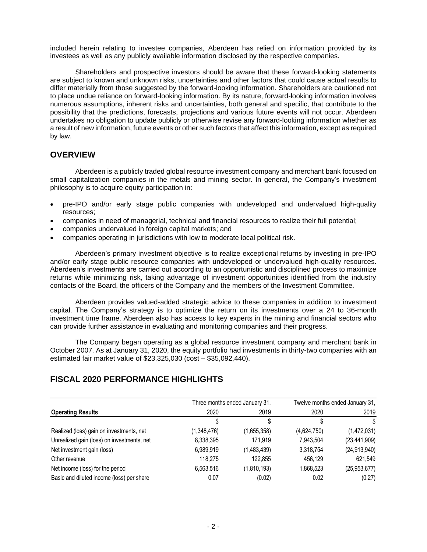included herein relating to investee companies, Aberdeen has relied on information provided by its investees as well as any publicly available information disclosed by the respective companies.

Shareholders and prospective investors should be aware that these forward-looking statements are subject to known and unknown risks, uncertainties and other factors that could cause actual results to differ materially from those suggested by the forward-looking information. Shareholders are cautioned not to place undue reliance on forward-looking information. By its nature, forward-looking information involves numerous assumptions, inherent risks and uncertainties, both general and specific, that contribute to the possibility that the predictions, forecasts, projections and various future events will not occur. Aberdeen undertakes no obligation to update publicly or otherwise revise any forward-looking information whether as a result of new information, future events or other such factors that affect this information, except as required by law.

# **OVERVIEW**

Aberdeen is a publicly traded global resource investment company and merchant bank focused on small capitalization companies in the metals and mining sector. In general, the Company's investment philosophy is to acquire equity participation in:

- pre-IPO and/or early stage public companies with undeveloped and undervalued high-quality resources;
- companies in need of managerial, technical and financial resources to realize their full potential;
- companies undervalued in foreign capital markets; and
- companies operating in jurisdictions with low to moderate local political risk.

Aberdeen's primary investment objective is to realize exceptional returns by investing in pre-IPO and/or early stage public resource companies with undeveloped or undervalued high-quality resources. Aberdeen's investments are carried out according to an opportunistic and disciplined process to maximize returns while minimizing risk, taking advantage of investment opportunities identified from the industry contacts of the Board, the officers of the Company and the members of the Investment Committee.

Aberdeen provides valued-added strategic advice to these companies in addition to investment capital. The Company's strategy is to optimize the return on its investments over a 24 to 36-month investment time frame. Aberdeen also has access to key experts in the mining and financial sectors who can provide further assistance in evaluating and monitoring companies and their progress.

The Company began operating as a global resource investment company and merchant bank in October 2007. As at January 31, 2020, the equity portfolio had investments in thirty-two companies with an estimated fair market value of \$23,325,030 (cost – \$35,092,440).

# **FISCAL 2020 PERFORMANCE HIGHLIGHTS**

|                                            |             | Three months ended January 31, |             | Twelve months ended January 31, |  |  |
|--------------------------------------------|-------------|--------------------------------|-------------|---------------------------------|--|--|
| <b>Operating Results</b>                   | 2020        | 2019                           | 2020        | 2019                            |  |  |
|                                            |             |                                |             | S                               |  |  |
| Realized (loss) gain on investments, net   | (1,348,476) | (1,655,358)                    | (4,624,750) | (1,472,031)                     |  |  |
| Unrealized gain (loss) on investments, net | 8,338,395   | 171.919                        | 7.943.504   | (23, 441, 909)                  |  |  |
| Net investment gain (loss)                 | 6,989,919   | (1,483,439)                    | 3,318,754   | (24, 913, 940)                  |  |  |
| Other revenue                              | 118,275     | 122,855                        | 456,129     | 621,549                         |  |  |
| Net income (loss) for the period           | 6,563,516   | (1,810,193)                    | 1,868,523   | (25, 953, 677)                  |  |  |
| Basic and diluted income (loss) per share  | 0.07        | (0.02)                         | 0.02        | (0.27)                          |  |  |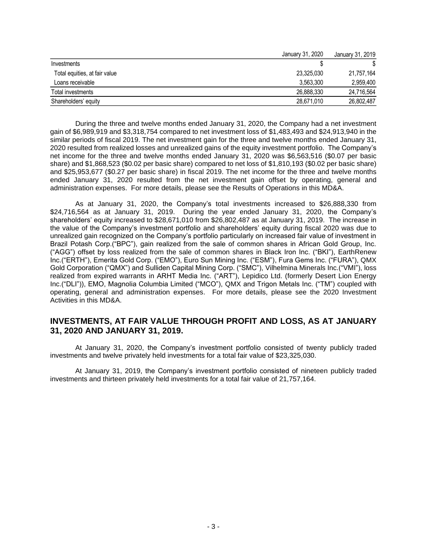|                               | January 31, 2020 | January 31, 2019 |
|-------------------------------|------------------|------------------|
| Investments                   |                  |                  |
| Total equities, at fair value | 23,325,030       | 21,757,164       |
| Loans receivable              | 3.563.300        | 2,959,400        |
| Total investments             | 26.888.330       | 24,716,564       |
| Shareholders' equity          | 28,671,010       | 26,802,487       |

During the three and twelve months ended January 31, 2020, the Company had a net investment gain of \$6,989,919 and \$3,318,754 compared to net investment loss of \$1,483,493 and \$24,913,940 in the similar periods of fiscal 2019. The net investment gain for the three and twelve months ended January 31, 2020 resulted from realized losses and unrealized gains of the equity investment portfolio. The Company's net income for the three and twelve months ended January 31, 2020 was \$6,563,516 (\$0.07 per basic share) and \$1,868,523 (\$0.02 per basic share) compared to net loss of \$1,810,193 (\$0.02 per basic share) and \$25,953,677 (\$0.27 per basic share) in fiscal 2019. The net income for the three and twelve months ended January 31, 2020 resulted from the net investment gain offset by operating, general and administration expenses. For more details, please see the Results of Operations in this MD&A.

As at January 31, 2020, the Company's total investments increased to \$26,888,330 from \$24,716,564 as at January 31, 2019. During the year ended January 31, 2020, the Company's shareholders' equity increased to \$28,671,010 from \$26,802,487 as at January 31, 2019. The increase in the value of the Company's investment portfolio and shareholders' equity during fiscal 2020 was due to unrealized gain recognized on the Company's portfolio particularly on increased fair value of investment in Brazil Potash Corp.("BPC"), gain realized from the sale of common shares in African Gold Group, Inc. ("AGG") offset by loss realized from the sale of common shares in Black Iron Inc. ("BKI"), EarthRenew Inc.("ERTH"), Emerita Gold Corp. ("EMO"), Euro Sun Mining Inc. ("ESM"), Fura Gems Inc. ("FURA"), QMX Gold Corporation ("QMX") and Sulliden Capital Mining Corp. ("SMC"), Vilhelmina Minerals Inc.("VMI"), loss realized from expired warrants in ARHT Media Inc. ("ART"), Lepidico Ltd. (formerly Desert Lion Energy Inc.("DLI")), EMO, Magnolia Columbia Limited ("MCO"), QMX and Trigon Metals Inc. ("TM") coupled with operating, general and administration expenses. For more details, please see the 2020 Investment Activities in this MD&A.

### **INVESTMENTS, AT FAIR VALUE THROUGH PROFIT AND LOSS, AS AT JANUARY 31, 2020 AND JANUARY 31, 2019.**

At January 31, 2020, the Company's investment portfolio consisted of twenty publicly traded investments and twelve privately held investments for a total fair value of \$23,325,030.

At January 31, 2019, the Company's investment portfolio consisted of nineteen publicly traded investments and thirteen privately held investments for a total fair value of 21,757,164.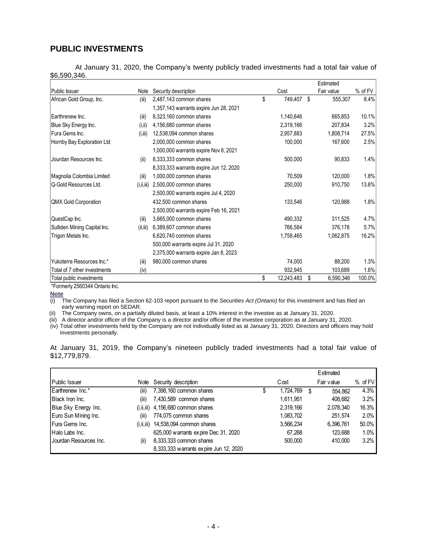# **PUBLIC INVESTMENTS**

At January 31, 2020, the Company's twenty publicly traded investments had a total fair value of \$6,590,346.

|                              |              |                                        |                  | Estimated       |         |
|------------------------------|--------------|----------------------------------------|------------------|-----------------|---------|
| Public Issuer                | Note         | Security description                   | Cost             | Fair value      | % of FV |
| African Gold Group, Inc.     | (iii)        | 2,487,143 common shares                | \$<br>749,407    | \$<br>555,307   | 8.4%    |
|                              |              | 1,357,143 warrants expire Jun 28, 2021 |                  |                 |         |
| Earthrenew Inc.              | (iii)        | 8,323,160 common shares                | 1,140,646        | 665,853         | 10.1%   |
| Blue Sky Energy Inc.         | (i, ii)      | 4,156,680 common shares                | 2,319,166        | 207,834         | 3.2%    |
| Fura Gems Inc.               | (i, iii)     | 12,538,094 common shares               | 2,957,883        | 1,808,714       | 27.5%   |
| Hornby Bay Exploration Ltd   |              | 2,000,000 common shares                | 100,000          | 167,600         | 2.5%    |
|                              |              | 1,000,000 warrants expire Nov 8, 2021  |                  |                 |         |
| Jourdan Resources Inc.       | (ii)         | 8,333,333 common shares                | 500,000          | 90,833          | 1.4%    |
|                              |              | 8,333,333 warrants expire Jun 12, 2020 |                  |                 |         |
| Magnolia Colombia Limited    | (iii)        | 1,000,000 common shares                | 70,509           | 120,000         | 1.8%    |
| Q-Gold Resources Ltd.        | (i, ii, iii) | 2,500,000 common shares                | 250,000          | 910,750         | 13.8%   |
|                              |              | 2,500,000 warrants expire Jul 4, 2020  |                  |                 |         |
| <b>QMX Gold Corporation</b>  |              | 432,500 common shares                  | 133,546          | 120,988         | 1.8%    |
|                              |              | 2,500,000 warrants expire Feb 16, 2021 |                  |                 |         |
| QuestCap Inc.                | (iii)        | 3,665,000 common shares                | 490,332          | 311,525         | 4.7%    |
| Sulliden Mining Capital Inc. | (ii, iii)    | 6,389,607 common shares                | 766,584          | 376,178         | 5.7%    |
| Trigon Metals Inc.           |              | 6,620,740 common shares                | 1,758,465        | 1,062,875       | 16.2%   |
|                              |              | 500,000 warrants expire Jul 31, 2020   |                  |                 |         |
|                              |              | 2,375,000 warrants expire Jan 8, 2023  |                  |                 |         |
| Yukoterre Resources Inc.*    | (iii)        | 980,000 common shares                  | 74,000           | 88,200          | 1.3%    |
| Total of 7 other investments | (iv)         |                                        | 932,945          | 103,689         | 1.6%    |
| Total public investments     |              |                                        | \$<br>12,243,483 | \$<br>6,590,346 | 100.0%  |

\*Formerly 2560344 Ontario Inc.

Note<br>(i) T

The Company has filed a Section 62-103 report pursuant to the *Securities Act (Ontario)* for this investment and has filed an early warning report on SEDAR.

(ii) The Company owns, on a partially diluted basis, at least a 10% interest in the investee as at January 31, 2020.

(iii) A director and/or officer of the Company is a director and/or officer of the investee corporation as at January 31, 2020.

(iv) Total other investments held by the Company are not individually listed as at January 31, 2020. Directors and officers may hold investments personally.

| At January 31, 2019, the Company's nineteen publicly traded investments had a total fair value of |  |  |  |  |  |  |  |
|---------------------------------------------------------------------------------------------------|--|--|--|--|--|--|--|
| \$12,779,879.                                                                                     |  |  |  |  |  |  |  |

|                        |       |                                         |   |           |   | Estimated  |           |
|------------------------|-------|-----------------------------------------|---|-----------|---|------------|-----------|
| Public Issuer          | Note  | Security description                    |   | Cost      |   | Fair value | $%$ of FV |
| Earthrenew Inc.*       | (iii) | 7,398,160 common shares                 | Œ | 1,724,769 | S | 554.862    | 4.3%      |
| Black Iron Inc.        | (iii) | 7,430,589 common shares                 |   | 1,611,951 |   | 408.682    | $3.2\%$   |
| Blue Sky Energy Inc.   |       | $(i, ii, iii)$ 4,156,680 common shares  |   | 2,319,166 |   | 2,078,340  | 16.3%     |
| Euro Sun Mining Inc.   | (iii) | 774,075 common shares                   |   | 1.083.702 |   | 251,574    | $2.0\%$   |
| Fura Gems Inc.         |       | $(i, ii, iii)$ 14,538,094 common shares |   | 3,566,234 |   | 6,396,761  | 50.0%     |
| Halo Labs Inc.         |       | 625,000 warrants expire Dec 31, 2020    |   | 67,268    |   | 123,688    | 1.0%      |
| Jourdan Resources Inc. | (ii)  | 8,333,333 common shares                 |   | 500,000   |   | 410.000    | $3.2\%$   |
|                        |       | 8,333,333 warrants expire Jun 12, 2020  |   |           |   |            |           |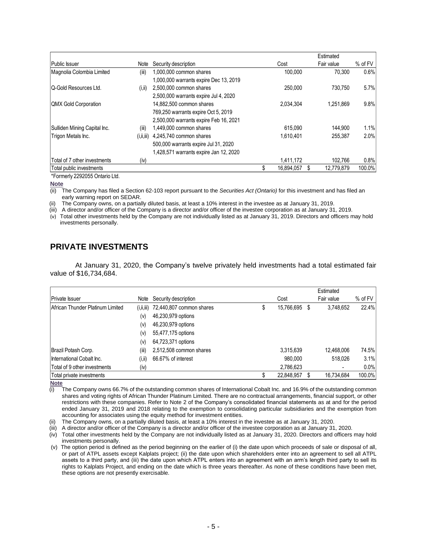|                              |              |                                        |                  | Estimated  |         |
|------------------------------|--------------|----------------------------------------|------------------|------------|---------|
| Public Issuer                | Note         | Security description                   | Cost             | Fair value | % of FV |
| Magnolia Colombia Limited    | (iii)        | 1,000,000 common shares                | 100.000          | 70.300     | 0.6%    |
|                              |              | 1,000,000 warrants expire Dec 13, 2019 |                  |            |         |
| Q-Gold Resources Ltd.        | (i, ii)      | 2,500,000 common shares                | 250.000          | 730.750    | 5.7%    |
|                              |              | 2,500,000 warrants expire Jul 4, 2020  |                  |            |         |
| <b>QMX Gold Corporation</b>  |              | 14,882,500 common shares               | 2.034.304        | 1.251.869  | 9.8%    |
|                              |              | 769,250 warrants expire Oct 5, 2019    |                  |            |         |
|                              |              | 2,500,000 warrants expire Feb 16, 2021 |                  |            |         |
| Sulliden Mining Capital Inc. | (iii)        | 1,449,000 common shares                | 615.090          | 144.900    | 1.1%    |
| Trigon Metals Inc.           | (i, ii, iii) | 4,245,740 common shares                | 1.610.401        | 255.387    | 2.0%    |
|                              |              | 500,000 warrants expire Jul 31, 2020   |                  |            |         |
|                              |              | 1,428,571 warrants expire Jan 12, 2020 |                  |            |         |
| Total of 7 other investments | (iv)         |                                        | 1,411,172        | 102.766    | 0.8%    |
| Total public investments     |              |                                        | \$<br>16.894.057 | 12.779.879 | 100.0%  |

\*Formerly 2292055 Ontario Ltd.

**Note**

(ii) The Company has filed a Section 62-103 report pursuant to the *Securities Act (Ontario)* for this investment and has filed an early warning report on SEDAR.

The Company owns, on a partially diluted basis, at least a 10% interest in the investee as at January 31, 2019.

(iii) A director and/or officer of the Company is a director and/or officer of the investee corporation as at January 31, 2019.

(v) Total other investments held by the Company are not individually listed as at January 31, 2019. Directors and officers may hold investments personally.

# **PRIVATE INVESTMENTS**

At January 31, 2020, the Company's twelve privately held investments had a total estimated fair value of \$16,734,684.

|                                  |              |                          |   |            |   | Estimated      |         |
|----------------------------------|--------------|--------------------------|---|------------|---|----------------|---------|
| <b>Private Issuer</b>            | Note         | Security description     |   | Cost       |   | Fair value     | % of FV |
| African Thunder Platinum Limited | (i, ii, iii) | 72,440,807 common shares | S | 15,766,695 | S | 3,748,652      | 22.4%   |
|                                  | (v)          | 46,230,979 options       |   |            |   |                |         |
|                                  | (v)          | 46,230,979 options       |   |            |   |                |         |
|                                  | (v)          | 55,477,175 options       |   |            |   |                |         |
|                                  | (v)          | 64,723,371 options       |   |            |   |                |         |
| Brazil Potash Corp.              | (iii)        | 2,512,508 common shares  |   | 3,315,639  |   | 12,468,006     | 74.5%   |
| International Cobalt Inc.        | (i,ii)       | 66.67% of interest       |   | 980.000    |   | 518.026        | 3.1%    |
| Total of 9 other investments     | (iv)         |                          |   | 2,786,623  |   | $\blacksquare$ | 0.0%    |
| Total private investments        |              |                          |   | 22,848,957 |   | 16.734.684     | 100.0%  |

**Note**

 $(i)$  The Company owns 66.7% of the outstanding common shares of International Cobalt Inc. and 16.9% of the outstanding common shares and voting rights of African Thunder Platinum Limited. There are no contractual arrangements, financial support, or other restrictions with these companies. Refer to Note 2 of the Company's consolidated financial statements as at and for the period ended January 31, 2019 and 2018 relating to the exemption to consolidating particular subsidiaries and the exemption from accounting for associates using the equity method for investment entities.

(ii) The Company owns, on a partially diluted basis, at least a 10% interest in the investee as at January 31, 2020.

(iii) A director and/or officer of the Company is a director and/or officer of the investee corporation as at January 31, 2020.

(iv) Total other investments held by the Company are not individually listed as at January 31, 2020. Directors and officers may hold investments personally.

(v) The option period is defined as the period beginning on the earlier of (i) the date upon which proceeds of sale or disposal of all, or part of ATPL assets except Kalplats project; (ii) the date upon which shareholders enter into an agreement to sell all ATPL assets to a third party, and (iii) the date upon which ATPL enters into an agreement with an arm's length third party to sell its rights to Kalplats Project, and ending on the date which is three years thereafter. As none of these conditions have been met, these options are not presently exercisable.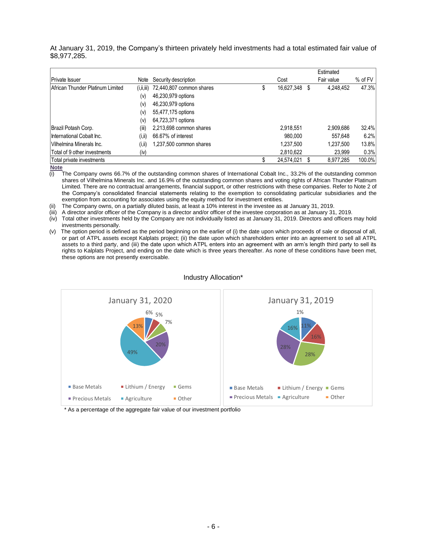At January 31, 2019, the Company's thirteen privately held investments had a total estimated fair value of \$8,977,285.

|                                  |              |                          |   |            |   | Estimated  |         |
|----------------------------------|--------------|--------------------------|---|------------|---|------------|---------|
| Private Issuer                   | Note         | Security description     |   | Cost       |   | Fair value | % of FV |
| African Thunder Platinum Limited | (i, ii, iii) | 72,440,807 common shares | S | 16,627,348 | S | 4.248.452  | 47.3%   |
|                                  | (v)          | 46,230,979 options       |   |            |   |            |         |
|                                  | (v)          | 46,230,979 options       |   |            |   |            |         |
|                                  | (v)          | 55,477,175 options       |   |            |   |            |         |
|                                  | (v)          | 64,723,371 options       |   |            |   |            |         |
| Brazil Potash Corp.              | (iii)        | 2,213,698 common shares  |   | 2,918,551  |   | 2,909,686  | 32.4%   |
| International Cobalt Inc.        | (i, ii)      | 66.67% of interest       |   | 980.000    |   | 557,648    | 6.2%    |
| Vilhelmina Minerals Inc.         | (i,ii)       | 1,237,500 common shares  |   | 1.237.500  |   | 1.237.500  | 13.8%   |
| Total of 9 other investments     | (iv)         |                          |   | 2,810,622  |   | 23.999     | 0.3%    |
| Total private investments        |              |                          |   | 24,574,021 |   | 8,977,285  | 100.0%  |

 $\frac{\overline{Note}}{\overline{(i)}}$ 

The Company owns 66.7% of the outstanding common shares of International Cobalt Inc., 33.2% of the outstanding common shares of Vilhelmina Minerals Inc. and 16.9% of the outstanding common shares and voting rights of African Thunder Platinum Limited. There are no contractual arrangements, financial support, or other restrictions with these companies. Refer to Note 2 of the Company's consolidated financial statements relating to the exemption to consolidating particular subsidiaries and the exemption from accounting for associates using the equity method for investment entities.

(ii) The Company owns, on a partially diluted basis, at least a 10% interest in the investee as at January 31, 2019.

(iii) A director and/or officer of the Company is a director and/or officer of the investee corporation as at January 31, 2019.

(iv) Total other investments held by the Company are not individually listed as at January 31, 2019. Directors and officers may hold investments personally.

(v) The option period is defined as the period beginning on the earlier of (i) the date upon which proceeds of sale or disposal of all, or part of ATPL assets except Kalplats project; (ii) the date upon which shareholders enter into an agreement to sell all ATPL assets to a third party, and (iii) the date upon which ATPL enters into an agreement with an arm's length third party to sell its rights to Kalplats Project, and ending on the date which is three years thereafter. As none of these conditions have been met, these options are not presently exercisable.



#### Industry Allocation\*

\* As a percentage of the aggregate fair value of our investment portfolio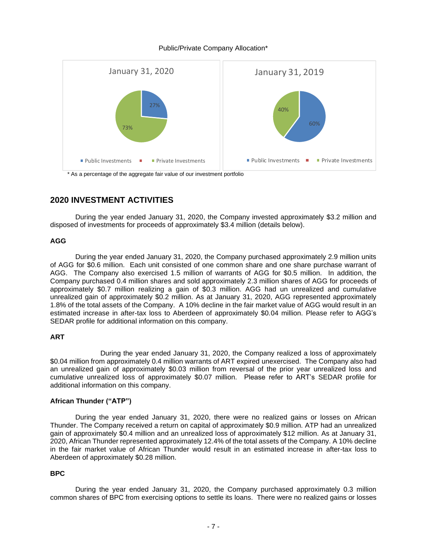### Public/Private Company Allocation\*



\* As a percentage of the aggregate fair value of our investment portfolio

# **2020 INVESTMENT ACTIVITIES**

During the year ended January 31, 2020, the Company invested approximately \$3.2 million and disposed of investments for proceeds of approximately \$3.4 million (details below).

### **AGG**

During the year ended January 31, 2020, the Company purchased approximately 2.9 million units of AGG for \$0.6 million. Each unit consisted of one common share and one share purchase warrant of AGG. The Company also exercised 1.5 million of warrants of AGG for \$0.5 million. In addition, the Company purchased 0.4 million shares and sold approximately 2.3 million shares of AGG for proceeds of approximately \$0.7 million realizing a gain of \$0.3 million. AGG had un unrealized and cumulative unrealized gain of approximately \$0.2 million. As at January 31, 2020, AGG represented approximately 1.8% of the total assets of the Company. A 10% decline in the fair market value of AGG would result in an estimated increase in after-tax loss to Aberdeen of approximately \$0.04 million. Please refer to AGG's SEDAR profile for additional information on this company.

### **ART**

During the year ended January 31, 2020, the Company realized a loss of approximately \$0.04 million from approximately 0.4 million warrants of ART expired unexercised. The Company also had an unrealized gain of approximately \$0.03 million from reversal of the prior year unrealized loss and cumulative unrealized loss of approximately \$0.07 million. Please refer to ART's SEDAR profile for additional information on this company.

### **African Thunder ("ATP")**

During the year ended January 31, 2020, there were no realized gains or losses on African Thunder. The Company received a return on capital of approximately \$0.9 million. ATP had an unrealized gain of approximately \$0.4 million and an unrealized loss of approximately \$12 million. As at January 31, 2020, African Thunder represented approximately 12.4% of the total assets of the Company. A 10% decline in the fair market value of African Thunder would result in an estimated increase in after-tax loss to Aberdeen of approximately \$0.28 million.

### **BPC**

During the year ended January 31, 2020, the Company purchased approximately 0.3 million common shares of BPC from exercising options to settle its loans. There were no realized gains or losses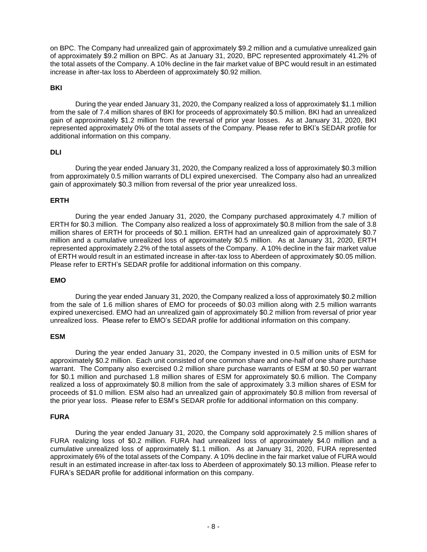on BPC. The Company had unrealized gain of approximately \$9.2 million and a cumulative unrealized gain of approximately \$9.2 million on BPC. As at January 31, 2020, BPC represented approximately 41.2% of the total assets of the Company. A 10% decline in the fair market value of BPC would result in an estimated increase in after-tax loss to Aberdeen of approximately \$0.92 million.

### **BKI**

During the year ended January 31, 2020, the Company realized a loss of approximately \$1.1 million from the sale of 7.4 million shares of BKI for proceeds of approximately \$0.5 million. BKI had an unrealized gain of approximately \$1.2 million from the reversal of prior year losses. As at January 31, 2020, BKI represented approximately 0% of the total assets of the Company. Please refer to BKI's SEDAR profile for additional information on this company.

### **DLI**

During the year ended January 31, 2020, the Company realized a loss of approximately \$0.3 million from approximately 0.5 million warrants of DLI expired unexercised. The Company also had an unrealized gain of approximately \$0.3 million from reversal of the prior year unrealized loss.

### **ERTH**

During the year ended January 31, 2020, the Company purchased approximately 4.7 million of ERTH for \$0.3 million. The Company also realized a loss of approximately \$0.8 million from the sale of 3.8 million shares of ERTH for proceeds of \$0.1 million. ERTH had an unrealized gain of approximately \$0.7 million and a cumulative unrealized loss of approximately \$0.5 million. As at January 31, 2020, ERTH represented approximately 2.2% of the total assets of the Company. A 10% decline in the fair market value of ERTH would result in an estimated increase in after-tax loss to Aberdeen of approximately \$0.05 million. Please refer to ERTH's SEDAR profile for additional information on this company.

#### **EMO**

During the year ended January 31, 2020, the Company realized a loss of approximately \$0.2 million from the sale of 1.6 million shares of EMO for proceeds of \$0.03 million along with 2.5 million warrants expired unexercised. EMO had an unrealized gain of approximately \$0.2 million from reversal of prior year unrealized loss. Please refer to EMO's SEDAR profile for additional information on this company.

#### **ESM**

During the year ended January 31, 2020, the Company invested in 0.5 million units of ESM for approximately \$0.2 million. Each unit consisted of one common share and one-half of one share purchase warrant. The Company also exercised 0.2 million share purchase warrants of ESM at \$0.50 per warrant for \$0.1 million and purchased 1.8 million shares of ESM for approximately \$0.6 million. The Company realized a loss of approximately \$0.8 million from the sale of approximately 3.3 million shares of ESM for proceeds of \$1.0 million. ESM also had an unrealized gain of approximately \$0.8 million from reversal of the prior year loss. Please refer to ESM's SEDAR profile for additional information on this company.

#### **FURA**

During the year ended January 31, 2020, the Company sold approximately 2.5 million shares of FURA realizing loss of \$0.2 million. FURA had unrealized loss of approximately \$4.0 million and a cumulative unrealized loss of approximately \$1.1 million. As at January 31, 2020, FURA represented approximately 6% of the total assets of the Company. A 10% decline in the fair market value of FURA would result in an estimated increase in after-tax loss to Aberdeen of approximately \$0.13 million. Please refer to FURA's SEDAR profile for additional information on this company.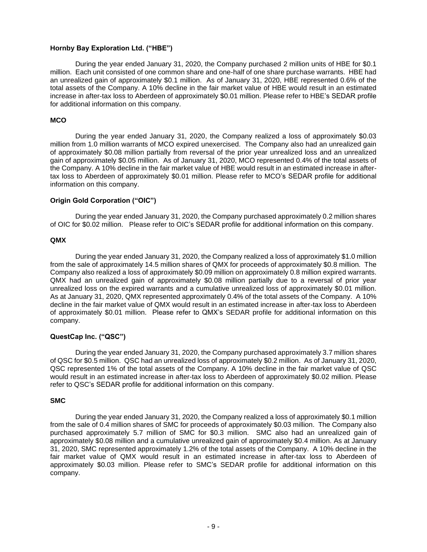### **Hornby Bay Exploration Ltd. ("HBE")**

During the year ended January 31, 2020, the Company purchased 2 million units of HBE for \$0.1 million. Each unit consisted of one common share and one-half of one share purchase warrants. HBE had an unrealized gain of approximately \$0.1 million. As of January 31, 2020, HBE represented 0.6% of the total assets of the Company. A 10% decline in the fair market value of HBE would result in an estimated increase in after-tax loss to Aberdeen of approximately \$0.01 million. Please refer to HBE's SEDAR profile for additional information on this company.

### **MCO**

During the year ended January 31, 2020, the Company realized a loss of approximately \$0.03 million from 1.0 million warrants of MCO expired unexercised. The Company also had an unrealized gain of approximately \$0.08 million partially from reversal of the prior year unrealized loss and an unrealized gain of approximately \$0.05 million. As of January 31, 2020, MCO represented 0.4% of the total assets of the Company. A 10% decline in the fair market value of HBE would result in an estimated increase in aftertax loss to Aberdeen of approximately \$0.01 million. Please refer to MCO's SEDAR profile for additional information on this company.

### **Origin Gold Corporation ("OIC")**

During the year ended January 31, 2020, the Company purchased approximately 0.2 million shares of OIC for \$0.02 million. Please refer to OIC's SEDAR profile for additional information on this company.

#### **QMX**

During the year ended January 31, 2020, the Company realized a loss of approximately \$1.0 million from the sale of approximately 14.5 million shares of QMX for proceeds of approximately \$0.8 million. The Company also realized a loss of approximately \$0.09 million on approximately 0.8 million expired warrants. QMX had an unrealized gain of approximately \$0.08 million partially due to a reversal of prior year unrealized loss on the expired warrants and a cumulative unrealized loss of approximately \$0.01 million. As at January 31, 2020, QMX represented approximately 0.4% of the total assets of the Company. A 10% decline in the fair market value of QMX would result in an estimated increase in after-tax loss to Aberdeen of approximately \$0.01 million. Please refer to QMX's SEDAR profile for additional information on this company.

#### **QuestCap Inc. ("QSC")**

During the year ended January 31, 2020, the Company purchased approximately 3.7 million shares of QSC for \$0.5 million. QSC had an unrealized loss of approximately \$0.2 million. As of January 31, 2020, QSC represented 1% of the total assets of the Company. A 10% decline in the fair market value of QSC would result in an estimated increase in after-tax loss to Aberdeen of approximately \$0.02 million. Please refer to QSC's SEDAR profile for additional information on this company.

#### **SMC**

During the year ended January 31, 2020, the Company realized a loss of approximately \$0.1 million from the sale of 0.4 million shares of SMC for proceeds of approximately \$0.03 million. The Company also purchased approximately 5.7 million of SMC for \$0.3 million. SMC also had an unrealized gain of approximately \$0.08 million and a cumulative unrealized gain of approximately \$0.4 million. As at January 31, 2020, SMC represented approximately 1.2% of the total assets of the Company. A 10% decline in the fair market value of QMX would result in an estimated increase in after-tax loss to Aberdeen of approximately \$0.03 million. Please refer to SMC's SEDAR profile for additional information on this company.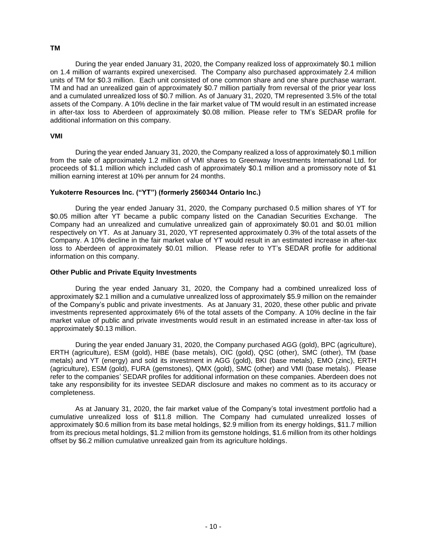### **TM**

During the year ended January 31, 2020, the Company realized loss of approximately \$0.1 million on 1.4 million of warrants expired unexercised. The Company also purchased approximately 2.4 million units of TM for \$0.3 million. Each unit consisted of one common share and one share purchase warrant. TM and had an unrealized gain of approximately \$0.7 million partially from reversal of the prior year loss and a cumulated unrealized loss of \$0.7 million. As of January 31, 2020, TM represented 3.5% of the total assets of the Company. A 10% decline in the fair market value of TM would result in an estimated increase in after-tax loss to Aberdeen of approximately \$0.08 million. Please refer to TM's SEDAR profile for additional information on this company.

### **VMI**

During the year ended January 31, 2020, the Company realized a loss of approximately \$0.1 million from the sale of approximately 1.2 million of VMI shares to Greenway Investments International Ltd. for proceeds of \$1.1 million which included cash of approximately \$0.1 million and a promissory note of \$1 million earning interest at 10% per annum for 24 months.

### **Yukoterre Resources Inc. ("YT") (formerly 2560344 Ontario Inc.)**

During the year ended January 31, 2020, the Company purchased 0.5 million shares of YT for \$0.05 million after YT became a public company listed on the Canadian Securities Exchange. The Company had an unrealized and cumulative unrealized gain of approximately \$0.01 and \$0.01 million respectively on YT. As at January 31, 2020, YT represented approximately 0.3% of the total assets of the Company. A 10% decline in the fair market value of YT would result in an estimated increase in after-tax loss to Aberdeen of approximately \$0.01 million. Please refer to YT's SEDAR profile for additional information on this company.

### **Other Public and Private Equity Investments**

During the year ended January 31, 2020, the Company had a combined unrealized loss of approximately \$2.1 million and a cumulative unrealized loss of approximately \$5.9 million on the remainder of the Company's public and private investments. As at January 31, 2020, these other public and private investments represented approximately 6% of the total assets of the Company. A 10% decline in the fair market value of public and private investments would result in an estimated increase in after-tax loss of approximately \$0.13 million.

During the year ended January 31, 2020, the Company purchased AGG (gold), BPC (agriculture), ERTH (agriculture), ESM (gold), HBE (base metals), OIC (gold), QSC (other), SMC (other), TM (base metals) and YT (energy) and sold its investment in AGG (gold), BKI (base metals), EMO (zinc), ERTH (agriculture), ESM (gold), FURA (gemstones), QMX (gold), SMC (other) and VMI (base metals). Please refer to the companies' SEDAR profiles for additional information on these companies. Aberdeen does not take any responsibility for its investee SEDAR disclosure and makes no comment as to its accuracy or completeness.

As at January 31, 2020, the fair market value of the Company's total investment portfolio had a cumulative unrealized loss of \$11.8 million. The Company had cumulated unrealized losses of approximately \$0.6 million from its base metal holdings, \$2.9 million from its energy holdings, \$11.7 million from its precious metal holdings, \$1.2 million from its gemstone holdings, \$1.6 million from its other holdings offset by \$6.2 million cumulative unrealized gain from its agriculture holdings.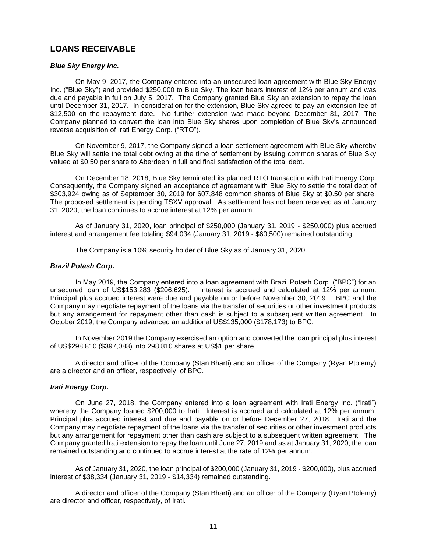# **LOANS RECEIVABLE**

### *Blue Sky Energy Inc.*

On May 9, 2017, the Company entered into an unsecured loan agreement with Blue Sky Energy Inc. ("Blue Sky") and provided \$250,000 to Blue Sky. The loan bears interest of 12% per annum and was due and payable in full on July 5, 2017. The Company granted Blue Sky an extension to repay the loan until December 31, 2017. In consideration for the extension, Blue Sky agreed to pay an extension fee of \$12,500 on the repayment date. No further extension was made beyond December 31, 2017. The Company planned to convert the loan into Blue Sky shares upon completion of Blue Sky's announced reverse acquisition of Irati Energy Corp. ("RTO").

On November 9, 2017, the Company signed a loan settlement agreement with Blue Sky whereby Blue Sky will settle the total debt owing at the time of settlement by issuing common shares of Blue Sky valued at \$0.50 per share to Aberdeen in full and final satisfaction of the total debt.

On December 18, 2018, Blue Sky terminated its planned RTO transaction with Irati Energy Corp. Consequently, the Company signed an acceptance of agreement with Blue Sky to settle the total debt of \$303,924 owing as of September 30, 2019 for 607,848 common shares of Blue Sky at \$0.50 per share. The proposed settlement is pending TSXV approval. As settlement has not been received as at January 31, 2020, the loan continues to accrue interest at 12% per annum.

As of January 31, 2020, loan principal of \$250,000 (January 31, 2019 - \$250,000) plus accrued interest and arrangement fee totaling \$94,034 (January 31, 2019 - \$60,500) remained outstanding.

The Company is a 10% security holder of Blue Sky as of January 31, 2020.

### *Brazil Potash Corp.*

In May 2019, the Company entered into a loan agreement with Brazil Potash Corp. ("BPC") for an unsecured loan of US\$153,283 (\$206,625). Interest is accrued and calculated at 12% per annum. Principal plus accrued interest were due and payable on or before November 30, 2019. BPC and the Company may negotiate repayment of the loans via the transfer of securities or other investment products but any arrangement for repayment other than cash is subject to a subsequent written agreement. In October 2019, the Company advanced an additional US\$135,000 (\$178,173) to BPC.

In November 2019 the Company exercised an option and converted the loan principal plus interest of US\$298,810 (\$397,088) into 298,810 shares at US\$1 per share.

A director and officer of the Company (Stan Bharti) and an officer of the Company (Ryan Ptolemy) are a director and an officer, respectively, of BPC.

### *Irati Energy Corp.*

On June 27, 2018, the Company entered into a loan agreement with Irati Energy Inc. ("Irati") whereby the Company loaned \$200,000 to Irati. Interest is accrued and calculated at 12% per annum. Principal plus accrued interest and due and payable on or before December 27, 2018. Irati and the Company may negotiate repayment of the loans via the transfer of securities or other investment products but any arrangement for repayment other than cash are subject to a subsequent written agreement. The Company granted Irati extension to repay the loan until June 27, 2019 and as at January 31, 2020, the loan remained outstanding and continued to accrue interest at the rate of 12% per annum.

As of January 31, 2020, the loan principal of \$200,000 (January 31, 2019 - \$200,000), plus accrued interest of \$38,334 (January 31, 2019 - \$14,334) remained outstanding.

A director and officer of the Company (Stan Bharti) and an officer of the Company (Ryan Ptolemy) are director and officer, respectively, of Irati.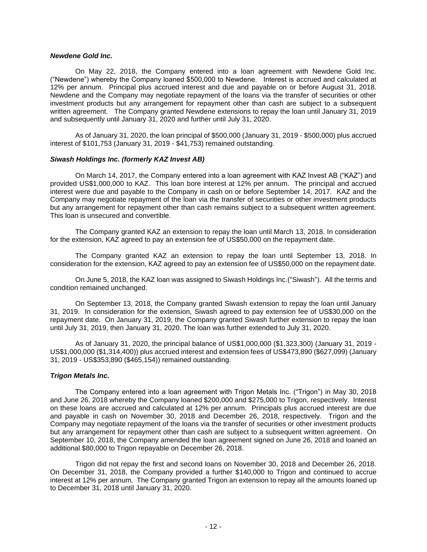### *Newdene Gold Inc.*

On May 22, 2018, the Company entered into a loan agreement with Newdene Gold Inc. ("Newdene") whereby the Company loaned \$500,000 to Newdene. Interest is accrued and calculated at 12% per annum. Principal plus accrued interest and due and payable on or before August 31, 2018. Newdene and the Company may negotiate repayment of the loans via the transfer of securities or other investment products but any arrangement for repayment other than cash are subject to a subsequent written agreement. The Company granted Newdene extensions to repay the loan until January 31, 2019 and subsequently until January 31, 2020 and further until July 31, 2020.

As of January 31, 2020, the loan principal of \$500,000 (January 31, 2019 - \$500,000) plus accrued interest of \$101,753 (January 31, 2019 - \$41,753) remained outstanding.

### *Siwash Holdings Inc. (formerly KAZ Invest AB)*

On March 14, 2017, the Company entered into a loan agreement with KAZ Invest AB ("KAZ") and provided US\$1,000,000 to KAZ. This loan bore interest at 12% per annum. The principal and accrued interest were due and payable to the Company in cash on or before September 14, 2017. KAZ and the Company may negotiate repayment of the loan via the transfer of securities or other investment products but any arrangement for repayment other than cash remains subject to a subsequent written agreement. This loan is unsecured and convertible.

The Company granted KAZ an extension to repay the loan until March 13, 2018. In consideration for the extension, KAZ agreed to pay an extension fee of US\$50,000 on the repayment date.

The Company granted KAZ an extension to repay the loan until September 13, 2018. In consideration for the extension, KAZ agreed to pay an extension fee of US\$50,000 on the repayment date.

On June 5, 2018, the KAZ loan was assigned to Siwash Holdings Inc.("Siwash"). All the terms and condition remained unchanged.

On September 13, 2018, the Company granted Siwash extension to repay the loan until January 31, 2019. In consideration for the extension, Siwash agreed to pay extension fee of US\$30,000 on the repayment date. On January 31, 2019, the Company granted Siwash further extension to repay the loan until July 31, 2019, then January 31, 2020. The loan was further extended to July 31, 2020.

As of January 31, 2020, the principal balance of US\$1,000,000 (\$1,323,300) (January 31, 2019 - US\$1,000,000 (\$1,314,400)) plus accrued interest and extension fees of US\$473,890 (\$627,099) (January 31, 2019 - US\$353,890 (\$465,154)) remained outstanding.

### *Trigon Metals Inc.*

The Company entered into a loan agreement with Trigon Metals Inc. ("Trigon") in May 30, 2018 and June 26, 2018 whereby the Company loaned \$200,000 and \$275,000 to Trigon, respectively. Interest on these loans are accrued and calculated at 12% per annum. Principals plus accrued interest are due and payable in cash on November 30, 2018 and December 26, 2018, respectively. Trigon and the Company may negotiate repayment of the loans via the transfer of securities or other investment products but any arrangement for repayment other than cash are subject to a subsequent written agreement. On September 10, 2018, the Company amended the loan agreement signed on June 26, 2018 and loaned an additional \$80,000 to Trigon repayable on December 26, 2018.

Trigon did not repay the first and second loans on November 30, 2018 and December 26, 2018. On December 31, 2018, the Company provided a further \$140,000 to Trigon and continued to accrue interest at 12% per annum. The Company granted Trigon an extension to repay all the amounts loaned up to December 31, 2018 until January 31, 2020.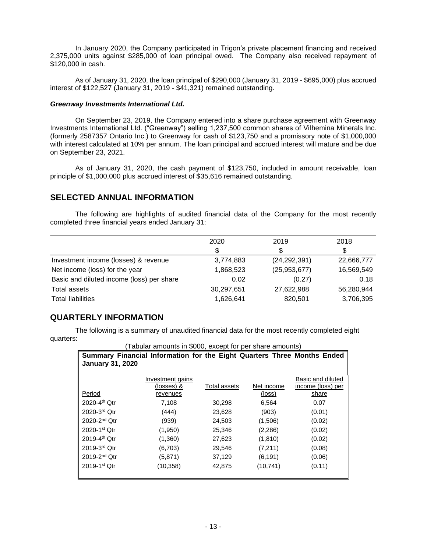In January 2020, the Company participated in Trigon's private placement financing and received 2,375,000 units against \$285,000 of loan principal owed. The Company also received repayment of \$120,000 in cash.

As of January 31, 2020, the loan principal of \$290,000 (January 31, 2019 - \$695,000) plus accrued interest of \$122,527 (January 31, 2019 - \$41,321) remained outstanding.

### *Greenway Investments International Ltd.*

On September 23, 2019, the Company entered into a share purchase agreement with Greenway Investments International Ltd. ("Greenway") selling 1,237,500 common shares of Vilhemina Minerals Inc. (formerly 2587357 Ontario Inc.) to Greenway for cash of \$123,750 and a promissory note of \$1,000,000 with interest calculated at 10% per annum. The loan principal and accrued interest will mature and be due on September 23, 2021.

As of January 31, 2020, the cash payment of \$123,750, included in amount receivable, loan principle of \$1,000,000 plus accrued interest of \$35,616 remained outstanding.

# **SELECTED ANNUAL INFORMATION**

The following are highlights of audited financial data of the Company for the most recently completed three financial years ended January 31:

|                                           | 2020       | 2019           | 2018       |
|-------------------------------------------|------------|----------------|------------|
|                                           | \$         |                | \$         |
| Investment income (losses) & revenue      | 3,774,883  | (24, 292, 391) | 22,666,777 |
| Net income (loss) for the year            | 1,868,523  | (25, 953, 677) | 16,569,549 |
| Basic and diluted income (loss) per share | 0.02       | (0.27)         | 0.18       |
| Total assets                              | 30,297,651 | 27,622,988     | 56,280,944 |
| <b>Total liabilities</b>                  | 1,626,641  | 820,501        | 3,706,395  |

# **QUARTERLY INFORMATION**

The following is a summary of unaudited financial data for the most recently completed eight quarters:

(Tabular amounts in \$000, except for per share amounts)

| <b>January 31, 2020</b>      | Summary Financial Information for the Eight Quarters Three Months Ended |              |                      |                                                 |
|------------------------------|-------------------------------------------------------------------------|--------------|----------------------|-------------------------------------------------|
| Period                       | Investment gains<br>(losses) &<br>revenues                              | Total assets | Net income<br>(loss) | Basic and diluted<br>income (loss) per<br>share |
| 2020-4 <sup>th</sup> Otr     | 7,108                                                                   | 30,298       | 6,564                | 0.07                                            |
| 2020-3rd Otr                 | (444)                                                                   | 23,628       | (903)                | (0.01)                                          |
| $2020 - 2nd$ Otr             | (939)                                                                   | 24,503       | (1,506)              | (0.02)                                          |
| $2020 - 1$ <sup>st</sup> Otr | (1,950)                                                                 | 25,346       | (2,286)              | (0.02)                                          |
| 2019-4 <sup>th</sup> Otr     | (1,360)                                                                 | 27,623       | (1,810)              | (0.02)                                          |
| $2019-3rd$ Otr               | (6,703)                                                                 | 29,546       | (7,211)              | (0.08)                                          |
| $2019 - 2nd$ Otr             | (5,871)                                                                 | 37,129       | (6, 191)             | (0.06)                                          |
| $2019 - 1$ <sup>st</sup> Otr | (10, 358)                                                               | 42,875       | (10, 741)            | (0.11)                                          |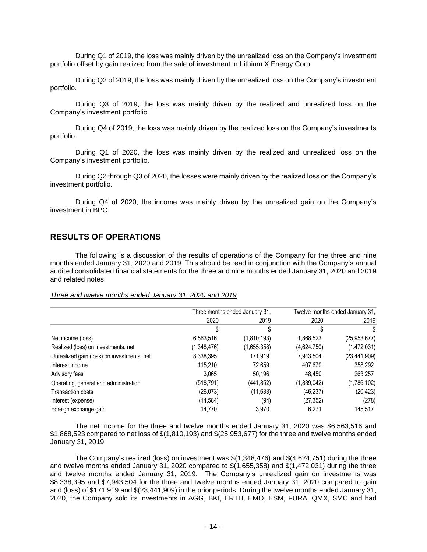During Q1 of 2019, the loss was mainly driven by the unrealized loss on the Company's investment portfolio offset by gain realized from the sale of investment in Lithium X Energy Corp.

During Q2 of 2019, the loss was mainly driven by the unrealized loss on the Company's investment portfolio.

During Q3 of 2019, the loss was mainly driven by the realized and unrealized loss on the Company's investment portfolio.

During Q4 of 2019, the loss was mainly driven by the realized loss on the Company's investments portfolio.

During Q1 of 2020, the loss was mainly driven by the realized and unrealized loss on the Company's investment portfolio.

During Q2 through Q3 of 2020, the losses were mainly driven by the realized loss on the Company's investment portfolio.

During Q4 of 2020, the income was mainly driven by the unrealized gain on the Company's investment in BPC.

### **RESULTS OF OPERATIONS**

The following is a discussion of the results of operations of the Company for the three and nine months ended January 31, 2020 and 2019. This should be read in conjunction with the Company's annual audited consolidated financial statements for the three and nine months ended January 31, 2020 and 2019 and related notes.

#### *Three and twelve months ended January 31, 2020 and 2019*

|                                            |             | Three months ended January 31, |             | Twelve months ended January 31, |
|--------------------------------------------|-------------|--------------------------------|-------------|---------------------------------|
|                                            | 2020        | 2019                           | 2020        | 2019                            |
|                                            | S           | S                              | S           | S                               |
| Net income (loss)                          | 6,563,516   | (1,810,193)                    | 1,868,523   | (25, 953, 677)                  |
| Realized (loss) on investments, net        | (1,348,476) | (1,655,358)                    | (4,624,750) | (1,472,031)                     |
| Unrealized gain (loss) on investments, net | 8,338,395   | 171.919                        | 7,943,504   | (23, 441, 909)                  |
| Interest income                            | 115,210     | 72,659                         | 407,679     | 358,292                         |
| Advisory fees                              | 3.065       | 50.196                         | 48.450      | 263,257                         |
| Operating, general and administration      | (518, 791)  | (441,852)                      | (1,839,042) | (1,786,102)                     |
| Transaction costs                          | (26, 073)   | (11, 633)                      | (46, 237)   | (20, 423)                       |
| Interest (expense)                         | (14, 584)   | (94)                           | (27, 352)   | (278)                           |
| Foreign exchange gain                      | 14,770      | 3,970                          | 6.271       | 145,517                         |

The net income for the three and twelve months ended January 31, 2020 was \$6,563,516 and \$1,868,523 compared to net loss of \$(1,810,193) and \$(25,953,677) for the three and twelve months ended January 31, 2019.

The Company's realized (loss) on investment was \$(1,348,476) and \$(4,624,751) during the three and twelve months ended January 31, 2020 compared to \$(1,655,358) and \$(1,472,031) during the three and twelve months ended January 31, 2019. The Company's unrealized gain on investments was \$8,338,395 and \$7,943,504 for the three and twelve months ended January 31, 2020 compared to gain and (loss) of \$171,919 and \$(23,441,909) in the prior periods. During the twelve months ended January 31, 2020, the Company sold its investments in AGG, BKI, ERTH, EMO, ESM, FURA, QMX, SMC and had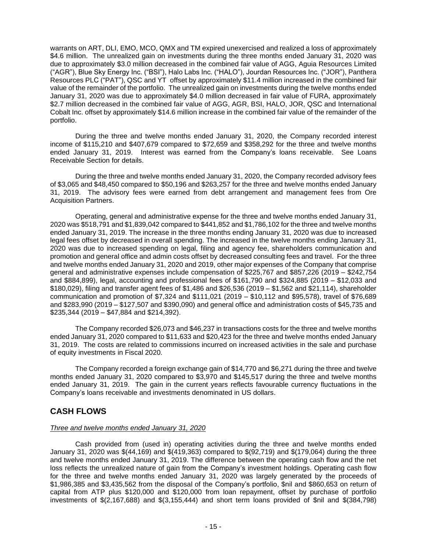warrants on ART, DLI, EMO, MCO, QMX and TM expired unexercised and realized a loss of approximately \$4.6 million. The unrealized gain on investments during the three months ended January 31, 2020 was due to approximately \$3.0 million decreased in the combined fair value of AGG, Aguia Resources Limited ("AGR"), Blue Sky Energy Inc. ("BSI"), Halo Labs Inc. ("HALO"), Jourdan Resources Inc. ("JOR"), Panthera Resources PLC ("PAT"), QSC and YT offset by approximately \$11.4 million increased in the combined fair value of the remainder of the portfolio. The unrealized gain on investments during the twelve months ended January 31, 2020 was due to approximately \$4.0 million decreased in fair value of FURA, approximately \$2.7 million decreased in the combined fair value of AGG, AGR, BSI, HALO, JOR, QSC and International Cobalt Inc. offset by approximately \$14.6 million increase in the combined fair value of the remainder of the portfolio.

During the three and twelve months ended January 31, 2020, the Company recorded interest income of \$115,210 and \$407,679 compared to \$72,659 and \$358,292 for the three and twelve months ended January 31, 2019. Interest was earned from the Company's loans receivable. See Loans Receivable Section for details.

During the three and twelve months ended January 31, 2020, the Company recorded advisory fees of \$3,065 and \$48,450 compared to \$50,196 and \$263,257 for the three and twelve months ended January 31, 2019. The advisory fees were earned from debt arrangement and management fees from Ore Acquisition Partners.

Operating, general and administrative expense for the three and twelve months ended January 31, 2020 was \$518,791 and \$1,839,042 compared to \$441,852 and \$1,786,102 for the three and twelve months ended January 31, 2019. The increase in the three months ending January 31, 2020 was due to increased legal fees offset by decreased in overall spending. The increased in the twelve months ending January 31, 2020 was due to increased spending on legal, filing and agency fee, shareholders communication and promotion and general office and admin costs offset by decreased consulting fees and travel. For the three and twelve months ended January 31, 2020 and 2019, other major expenses of the Company that comprise general and administrative expenses include compensation of \$225,767 and \$857,226 (2019 – \$242,754 and \$884,899), legal, accounting and professional fees of \$161,790 and \$324,885 (2019 – \$12,033 and \$180,029), filing and transfer agent fees of \$1,486 and \$26,536 (2019 – \$1,562 and \$21,114), shareholder communication and promotion of \$7,324 and \$111,021 (2019 – \$10,112 and \$95,578), travel of \$76,689 and \$283,990 (2019 – \$127,507 and \$390,090) and general office and administration costs of \$45,735 and \$235,344 (2019 – \$47,884 and \$214,392).

The Company recorded \$26,073 and \$46,237 in transactions costs for the three and twelve months ended January 31, 2020 compared to \$11,633 and \$20,423 for the three and twelve months ended January 31, 2019. The costs are related to commissions incurred on increased activities in the sale and purchase of equity investments in Fiscal 2020.

The Company recorded a foreign exchange gain of \$14,770 and \$6,271 during the three and twelve months ended January 31, 2020 compared to \$3,970 and \$145,517 during the three and twelve months ended January 31, 2019. The gain in the current years reflects favourable currency fluctuations in the Company's loans receivable and investments denominated in US dollars.

# **CASH FLOWS**

### *Three and twelve months ended January 31, 2020*

Cash provided from (used in) operating activities during the three and twelve months ended January 31, 2020 was \$(44,169) and \$(419,363) compared to \$(92,719) and \$(179,064) during the three and twelve months ended January 31, 2019. The difference between the operating cash flow and the net loss reflects the unrealized nature of gain from the Company's investment holdings. Operating cash flow for the three and twelve months ended January 31, 2020 was largely generated by the proceeds of \$1,986,385 and \$3,435,562 from the disposal of the Company's portfolio, \$nil and \$860,653 on return of capital from ATP plus \$120,000 and \$120,000 from loan repayment, offset by purchase of portfolio investments of \$(2,167,688) and \$(3,155,444) and short term loans provided of \$nil and \$(384,798)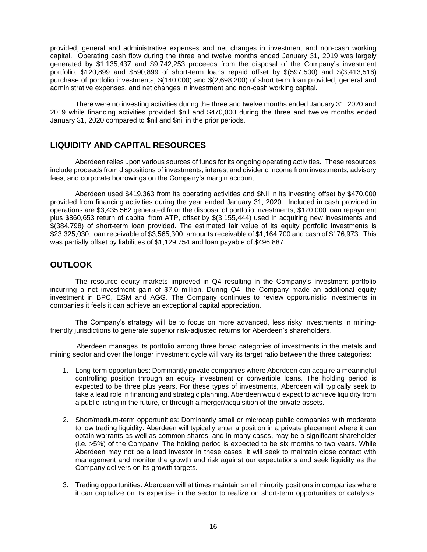provided, general and administrative expenses and net changes in investment and non-cash working capital. Operating cash flow during the three and twelve months ended January 31, 2019 was largely generated by \$1,135,437 and \$9,742,253 proceeds from the disposal of the Company's investment portfolio, \$120,899 and \$590,899 of short-term loans repaid offset by \$(597,500) and \$(3,413,516) purchase of portfolio investments, \$(140,000) and \$(2,698,200) of short term loan provided, general and administrative expenses, and net changes in investment and non-cash working capital.

There were no investing activities during the three and twelve months ended January 31, 2020 and 2019 while financing activities provided \$nil and \$470,000 during the three and twelve months ended January 31, 2020 compared to \$nil and \$nil in the prior periods.

# **LIQUIDITY AND CAPITAL RESOURCES**

Aberdeen relies upon various sources of funds for its ongoing operating activities. These resources include proceeds from dispositions of investments, interest and dividend income from investments, advisory fees, and corporate borrowings on the Company's margin account.

Aberdeen used \$419,363 from its operating activities and \$Nil in its investing offset by \$470,000 provided from financing activities during the year ended January 31, 2020. Included in cash provided in operations are \$3,435,562 generated from the disposal of portfolio investments, \$120,000 loan repayment plus \$860,653 return of capital from ATP, offset by \$(3,155,444) used in acquiring new investments and \$(384,798) of short-term loan provided. The estimated fair value of its equity portfolio investments is \$23,325,030, loan receivable of \$3,565,300, amounts receivable of \$1,164,700 and cash of \$176,973. This was partially offset by liabilities of \$1,129,754 and loan payable of \$496,887.

# **OUTLOOK**

The resource equity markets improved in Q4 resulting in the Company's investment portfolio incurring a net investment gain of \$7.0 million. During Q4, the Company made an additional equity investment in BPC, ESM and AGG. The Company continues to review opportunistic investments in companies it feels it can achieve an exceptional capital appreciation.

The Company's strategy will be to focus on more advanced, less risky investments in miningfriendly jurisdictions to generate superior risk-adjusted returns for Aberdeen's shareholders.

Aberdeen manages its portfolio among three broad categories of investments in the metals and mining sector and over the longer investment cycle will vary its target ratio between the three categories:

- 1. Long-term opportunities: Dominantly private companies where Aberdeen can acquire a meaningful controlling position through an equity investment or convertible loans. The holding period is expected to be three plus years. For these types of investments, Aberdeen will typically seek to take a lead role in financing and strategic planning. Aberdeen would expect to achieve liquidity from a public listing in the future, or through a merger/acquisition of the private assets.
- 2. Short/medium-term opportunities: Dominantly small or microcap public companies with moderate to low trading liquidity. Aberdeen will typically enter a position in a private placement where it can obtain warrants as well as common shares, and in many cases, may be a significant shareholder (i.e. >5%) of the Company. The holding period is expected to be six months to two years. While Aberdeen may not be a lead investor in these cases, it will seek to maintain close contact with management and monitor the growth and risk against our expectations and seek liquidity as the Company delivers on its growth targets.
- 3. Trading opportunities: Aberdeen will at times maintain small minority positions in companies where it can capitalize on its expertise in the sector to realize on short-term opportunities or catalysts.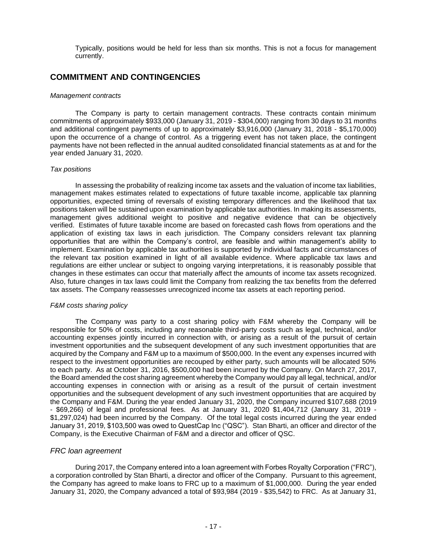Typically, positions would be held for less than six months. This is not a focus for management currently.

# **COMMITMENT AND CONTINGENCIES**

### *Management contracts*

The Company is party to certain management contracts. These contracts contain minimum commitments of approximately \$933,000 (January 31, 2019 - \$304,000) ranging from 30 days to 31 months and additional contingent payments of up to approximately \$3,916,000 (January 31, 2018 - \$5,170,000) upon the occurrence of a change of control. As a triggering event has not taken place, the contingent payments have not been reflected in the annual audited consolidated financial statements as at and for the year ended January 31, 2020.

### *Tax positions*

In assessing the probability of realizing income tax assets and the valuation of income tax liabilities, management makes estimates related to expectations of future taxable income, applicable tax planning opportunities, expected timing of reversals of existing temporary differences and the likelihood that tax positions taken will be sustained upon examination by applicable tax authorities. In making its assessments, management gives additional weight to positive and negative evidence that can be objectively verified. Estimates of future taxable income are based on forecasted cash flows from operations and the application of existing tax laws in each jurisdiction. The Company considers relevant tax planning opportunities that are within the Company's control, are feasible and within management's ability to implement. Examination by applicable tax authorities is supported by individual facts and circumstances of the relevant tax position examined in light of all available evidence. Where applicable tax laws and regulations are either unclear or subject to ongoing varying interpretations, it is reasonably possible that changes in these estimates can occur that materially affect the amounts of income tax assets recognized. Also, future changes in tax laws could limit the Company from realizing the tax benefits from the deferred tax assets. The Company reassesses unrecognized income tax assets at each reporting period.

### *F&M costs sharing policy*

The Company was party to a cost sharing policy with F&M whereby the Company will be responsible for 50% of costs, including any reasonable third-party costs such as legal, technical, and/or accounting expenses jointly incurred in connection with, or arising as a result of the pursuit of certain investment opportunities and the subsequent development of any such investment opportunities that are acquired by the Company and F&M up to a maximum of \$500,000. In the event any expenses incurred with respect to the investment opportunities are recouped by either party, such amounts will be allocated 50% to each party. As at October 31, 2016, \$500,000 had been incurred by the Company. On March 27, 2017, the Board amended the cost sharing agreement whereby the Company would pay all legal, technical, and/or accounting expenses in connection with or arising as a result of the pursuit of certain investment opportunities and the subsequent development of any such investment opportunities that are acquired by the Company and F&M. During the year ended January 31, 2020, the Company incurred \$107,688 (2019 - \$69,266) of legal and professional fees. As at January 31, 2020 \$1,404,712 (January 31, 2019 - \$1,297,024) had been incurred by the Company. Of the total legal costs incurred during the year ended January 31, 2019, \$103,500 was owed to QuestCap Inc ("QSC"). Stan Bharti, an officer and director of the Company, is the Executive Chairman of F&M and a director and officer of QSC.

### *FRC loan agreement*

During 2017, the Company entered into a loan agreement with Forbes Royalty Corporation ("FRC"), a corporation controlled by Stan Bharti, a director and officer of the Company. Pursuant to this agreement, the Company has agreed to make loans to FRC up to a maximum of \$1,000,000. During the year ended January 31, 2020, the Company advanced a total of \$93,984 (2019 - \$35,542) to FRC. As at January 31,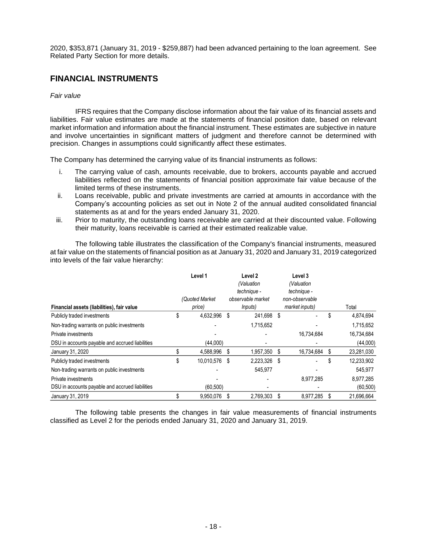2020, \$353,871 (January 31, 2019 - \$259,887) had been advanced pertaining to the loan agreement. See Related Party Section for more details.

# **FINANCIAL INSTRUMENTS**

### *Fair value*

IFRS requires that the Company disclose information about the fair value of its financial assets and liabilities. Fair value estimates are made at the statements of financial position date, based on relevant market information and information about the financial instrument. These estimates are subjective in nature and involve uncertainties in significant matters of judgment and therefore cannot be determined with precision. Changes in assumptions could significantly affect these estimates.

The Company has determined the carrying value of its financial instruments as follows:

- i. The carrying value of cash, amounts receivable, due to brokers, accounts payable and accrued liabilities reflected on the statements of financial position approximate fair value because of the limited terms of these instruments.
- ii. Loans receivable, public and private investments are carried at amounts in accordance with the Company's accounting policies as set out in Note 2 of the annual audited consolidated financial statements as at and for the years ended January 31, 2020.
- iii. Prior to maturity, the outstanding loans receivable are carried at their discounted value. Following their maturity, loans receivable is carried at their estimated realizable value.

The following table illustrates the classification of the Company's financial instruments, measured at fair value on the statements of financial position as at January 31, 2020 and January 31, 2019 categorized into levels of the fair value hierarchy:

| Financial assets (liabilities), fair value      |    | Level 1<br>(Quoted Market<br>price) |      | Level 2<br>(Valuation<br>technique -<br>observable market<br><i>lnputs</i> ) |   | Level 3<br>(Valuation<br>technique -<br>non-observable<br>market inputs) |    | Total      |
|-------------------------------------------------|----|-------------------------------------|------|------------------------------------------------------------------------------|---|--------------------------------------------------------------------------|----|------------|
| Publicly traded investments                     | \$ | 4,632,996 \$                        |      | 241,698 \$                                                                   |   |                                                                          | \$ | 4,874,694  |
|                                                 |    |                                     |      |                                                                              |   |                                                                          |    |            |
| Non-trading warrants on public investments      |    |                                     |      | 1,715,652                                                                    |   |                                                                          |    | 1,715,652  |
| Private investments                             |    |                                     |      |                                                                              |   | 16,734,684                                                               |    | 16,734,684 |
| DSU in accounts payable and accrued liabilities |    | (44,000)                            |      |                                                                              |   |                                                                          |    | (44,000)   |
| January 31, 2020                                |    | 4,588,996                           | - \$ | 1,957,350                                                                    | S | 16,734,684                                                               | \$ | 23,281,030 |
| Publicly traded investments                     | S. | 10,010,576 \$                       |      | 2,223,326                                                                    | S | ۰                                                                        | S  | 12,233,902 |
| Non-trading warrants on public investments      |    |                                     |      | 545,977                                                                      |   |                                                                          |    | 545,977    |
| Private investments                             |    |                                     |      |                                                                              |   | 8,977,285                                                                |    | 8,977,285  |
| DSU in accounts payable and accrued liabilities |    | (60, 500)                           |      |                                                                              |   |                                                                          |    | (60, 500)  |
| January 31, 2019                                |    | 9.950.076                           |      | 2,769,303                                                                    | S | 8,977,285                                                                |    | 21.696.664 |

The following table presents the changes in fair value measurements of financial instruments classified as Level 2 for the periods ended January 31, 2020 and January 31, 2019.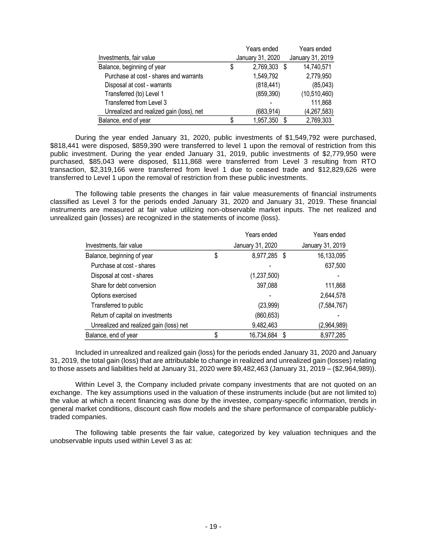|                                          |    | Years ended      | Years ended      |
|------------------------------------------|----|------------------|------------------|
| Investments, fair value                  |    | January 31, 2020 | January 31, 2019 |
| Balance, beginning of year               | \$ | 2,769,303 \$     | 14,740,571       |
| Purchase at cost - shares and warrants   |    | 1,549,792        | 2,779,950        |
| Disposal at cost - warrants              |    | (818, 441)       | (85, 043)        |
| Transferred (to) Level 1                 |    | (859, 390)       | (10,510,460)     |
| Transferred from Level 3                 |    |                  | 111,868          |
| Unrealized and realized gain (loss), net |    | (683, 914)       | (4, 267, 583)    |
| Balance, end of year                     | S  | 1,957,350        | 2,769,303        |

During the year ended January 31, 2020, public investments of \$1,549,792 were purchased, \$818,441 were disposed, \$859,390 were transferred to level 1 upon the removal of restriction from this public investment. During the year ended January 31, 2019, public investments of \$2,779,950 were purchased, \$85,043 were disposed, \$111,868 were transferred from Level 3 resulting from RTO transaction, \$2,319,166 were transferred from level 1 due to ceased trade and \$12,829,626 were transferred to Level 1 upon the removal of restriction from these public investments.

The following table presents the changes in fair value measurements of financial instruments classified as Level 3 for the periods ended January 31, 2020 and January 31, 2019. These financial instruments are measured at fair value utilizing non-observable market inputs. The net realized and unrealized gain (losses) are recognized in the statements of income (loss).

|                                         | Years ended        |   | Years ended      |
|-----------------------------------------|--------------------|---|------------------|
| Investments, fair value                 | January 31, 2020   |   | January 31, 2019 |
| Balance, beginning of year              | \$<br>8,977,285 \$ |   | 16,133,095       |
| Purchase at cost - shares               |                    |   | 637,500          |
| Disposal at cost - shares               | (1,237,500)        |   |                  |
| Share for debt conversion               | 397,088            |   | 111,868          |
| Options exercised                       |                    |   | 2,644,578        |
| Transferred to public                   | (23,999)           |   | (7,584,767)      |
| Return of capital on investments        | (860, 653)         |   |                  |
| Unrealized and realized gain (loss) net | 9,482,463          |   | (2,964,989)      |
| Balance, end of year                    | 16,734,684         | S | 8,977,285        |

Included in unrealized and realized gain (loss) for the periods ended January 31, 2020 and January 31, 2019, the total gain (loss) that are attributable to change in realized and unrealized gain (losses) relating to those assets and liabilities held at January 31, 2020 were \$9,482,463 (January 31, 2019 – (\$2,964,989)).

Within Level 3, the Company included private company investments that are not quoted on an exchange. The key assumptions used in the valuation of these instruments include (but are not limited to) the value at which a recent financing was done by the investee, company-specific information, trends in general market conditions, discount cash flow models and the share performance of comparable publiclytraded companies.

The following table presents the fair value, categorized by key valuation techniques and the unobservable inputs used within Level 3 as at: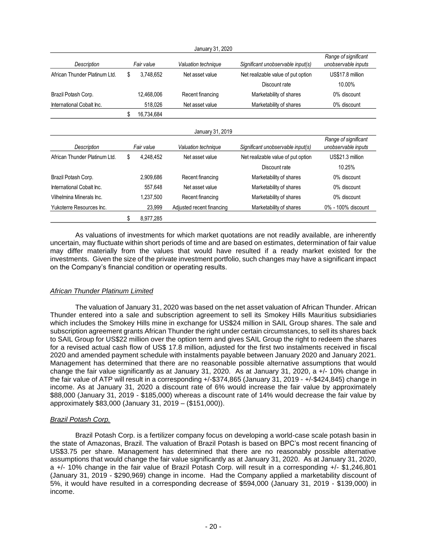|                               |                  | January 31, 2020          |                                    |                                             |
|-------------------------------|------------------|---------------------------|------------------------------------|---------------------------------------------|
| Description                   | Fair value       | Valuation technique       | Significant unobservable input(s)  | Range of significant<br>unobservable inputs |
| African Thunder Platinum Ltd. | \$<br>3,748,652  | Net asset value           | Net realizable value of put option | US\$17.8 million                            |
|                               |                  |                           | Discount rate                      | 10.00%                                      |
| Brazil Potash Corp.           | 12,468,006       | Recent financing          | Marketability of shares            | 0% discount                                 |
| International Cobalt Inc.     | 518,026          | Net asset value           | Marketability of shares            | 0% discount                                 |
|                               | \$<br>16,734,684 |                           |                                    |                                             |
|                               |                  | January 31, 2019          |                                    |                                             |
| Description                   | Fair value       | Valuation technique       | Significant unobservable input(s)  | Range of significant<br>unobservable inputs |
| African Thunder Platinum Ltd. | \$<br>4,248,452  | Net asset value           | Net realizable value of put option | US\$21.3 million                            |
|                               |                  |                           | Discount rate                      | 10.25%                                      |
| Brazil Potash Corp.           | 2,909,686        | Recent financing          | Marketability of shares            | 0% discount                                 |
| International Cobalt Inc.     | 557,648          | Net asset value           | Marketability of shares            | 0% discount                                 |
| Vilhelmina Minerals Inc.      | 1,237,500        | Recent financing          | Marketability of shares            | 0% discount                                 |
| Yukoterre Resources Inc.      | 23,999           | Adjusted recent financing | Marketability of shares            | 0% - 100% discount                          |
|                               | \$<br>8,977,285  |                           |                                    |                                             |

As valuations of investments for which market quotations are not readily available, are inherently uncertain, may fluctuate within short periods of time and are based on estimates, determination of fair value may differ materially from the values that would have resulted if a ready market existed for the investments. Given the size of the private investment portfolio, such changes may have a significant impact on the Company's financial condition or operating results.

### *African Thunder Platinum Limited*

The valuation of January 31, 2020 was based on the net asset valuation of African Thunder. African Thunder entered into a sale and subscription agreement to sell its Smokey Hills Mauritius subsidiaries which includes the Smokey Hills mine in exchange for US\$24 million in SAIL Group shares. The sale and subscription agreement grants African Thunder the right under certain circumstances, to sell its shares back to SAIL Group for US\$22 million over the option term and gives SAIL Group the right to redeem the shares for a revised actual cash flow of US\$ 17.8 million, adjusted for the first two instalments received in fiscal 2020 and amended payment schedule with instalments payable between January 2020 and January 2021. Management has determined that there are no reasonable possible alternative assumptions that would change the fair value significantly as at January 31, 2020. As at January 31, 2020, a +/- 10% change in the fair value of ATP will result in a corresponding +/-\$374,865 (January 31, 2019 - +/-\$424,845) change in income. As at January 31, 2020 a discount rate of 6% would increase the fair value by approximately \$88,000 (January 31, 2019 - \$185,000) whereas a discount rate of 14% would decrease the fair value by approximately \$83,000 (January 31, 2019 – (\$151,000)).

### *Brazil Potash Corp.*

Brazil Potash Corp. is a fertilizer company focus on developing a world-case scale potash basin in the state of Amazonas, Brazil. The valuation of Brazil Potash is based on BPC's most recent financing of US\$3.75 per share. Management has determined that there are no reasonably possible alternative assumptions that would change the fair value significantly as at January 31, 2020. As at January 31, 2020, a +/- 10% change in the fair value of Brazil Potash Corp. will result in a corresponding +/- \$1,246,801 (January 31, 2019 - \$290,969) change in income. Had the Company applied a marketability discount of 5%, it would have resulted in a corresponding decrease of \$594,000 (January 31, 2019 - \$139,000) in income.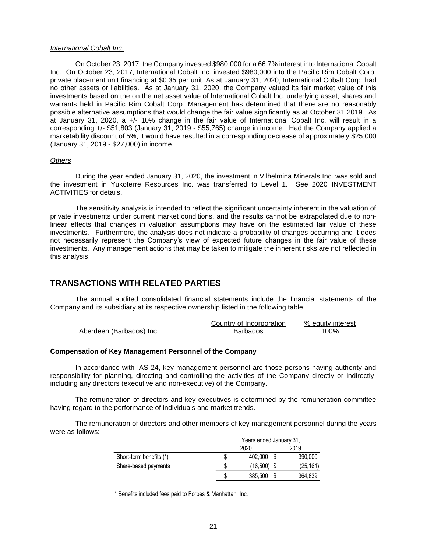#### *International Cobalt Inc.*

On October 23, 2017, the Company invested \$980,000 for a 66.7% interest into International Cobalt Inc. On October 23, 2017, International Cobalt Inc. invested \$980,000 into the Pacific Rim Cobalt Corp. private placement unit financing at \$0.35 per unit. As at January 31, 2020, International Cobalt Corp. had no other assets or liabilities. As at January 31, 2020, the Company valued its fair market value of this investments based on the on the net asset value of International Cobalt Inc. underlying asset, shares and warrants held in Pacific Rim Cobalt Corp. Management has determined that there are no reasonably possible alternative assumptions that would change the fair value significantly as at October 31 2019. As at January 31, 2020, a +/- 10% change in the fair value of International Cobalt Inc. will result in a corresponding +/- \$51,803 (January 31, 2019 - \$55,765) change in income. Had the Company applied a marketability discount of 5%, it would have resulted in a corresponding decrease of approximately \$25,000 (January 31, 2019 - \$27,000) in income.

### *Others*

During the year ended January 31, 2020, the investment in Vilhelmina Minerals Inc. was sold and the investment in Yukoterre Resources Inc. was transferred to Level 1. See 2020 INVESTMENT ACTIVITIES for details.

The sensitivity analysis is intended to reflect the significant uncertainty inherent in the valuation of private investments under current market conditions, and the results cannot be extrapolated due to nonlinear effects that changes in valuation assumptions may have on the estimated fair value of these investments. Furthermore, the analysis does not indicate a probability of changes occurring and it does not necessarily represent the Company's view of expected future changes in the fair value of these investments. Any management actions that may be taken to mitigate the inherent risks are not reflected in this analysis.

### **TRANSACTIONS WITH RELATED PARTIES**

The annual audited consolidated financial statements include the financial statements of the Company and its subsidiary at its respective ownership listed in the following table.

|                          | Country of Incorporation | % equity interest |
|--------------------------|--------------------------|-------------------|
| Aberdeen (Barbados) Inc. | <b>Barbados</b>          | 100%              |

#### **Compensation of Key Management Personnel of the Company**

In accordance with IAS 24, key management personnel are those persons having authority and responsibility for planning, directing and controlling the activities of the Company directly or indirectly, including any directors (executive and non-executive) of the Company.

The remuneration of directors and key executives is determined by the remuneration committee having regard to the performance of individuals and market trends.

The remuneration of directors and other members of key management personnel during the years were as follows:

|                         |      | Years ended January 31, |      |           |  |
|-------------------------|------|-------------------------|------|-----------|--|
|                         | 2020 |                         | 2019 |           |  |
| Short-term benefits (*) | \$   | 402.000                 |      | 390,000   |  |
| Share-based payments    | S    | $(16,500)$ \$           |      | (25, 161) |  |
|                         | S    | 385,500                 |      | 364,839   |  |

\* Benefits included fees paid to Forbes & Manhattan, Inc.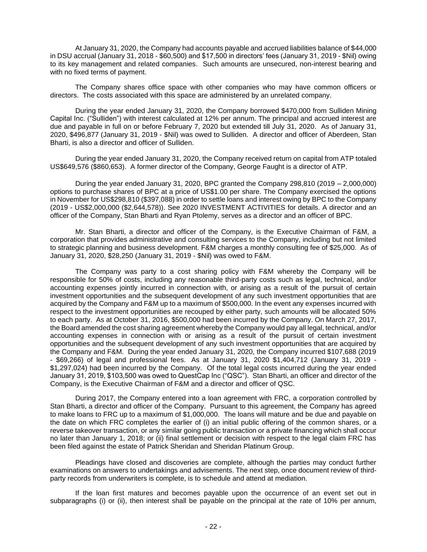At January 31, 2020, the Company had accounts payable and accrued liabilities balance of \$44,000 in DSU accrual (January 31, 2018 - \$60,500) and \$17,500 in directors' fees (January 31, 2019 - \$Nil) owing to its key management and related companies. Such amounts are unsecured, non-interest bearing and with no fixed terms of payment.

The Company shares office space with other companies who may have common officers or directors. The costs associated with this space are administered by an unrelated company.

During the year ended January 31, 2020, the Company borrowed \$470,000 from Sulliden Mining Capital Inc. ("Sulliden") with interest calculated at 12% per annum. The principal and accrued interest are due and payable in full on or before February 7, 2020 but extended till July 31, 2020. As of January 31, 2020, \$496,877 (January 31, 2019 - \$Nil) was owed to Sulliden. A director and officer of Aberdeen, Stan Bharti, is also a director and officer of Sulliden.

During the year ended January 31, 2020, the Company received return on capital from ATP totaled US\$649,576 (\$860,653). A former director of the Company, George Faught is a director of ATP.

During the year ended January 31, 2020, BPC granted the Company 298,810 (2019 – 2,000,000) options to purchase shares of BPC at a price of US\$1.00 per share. The Company exercised the options in November for US\$298,810 (\$397,088) in order to settle loans and interest owing by BPC to the Company (2019 - US\$2,000,000 (\$2,644,578)). See 2020 INVESTMENT ACTIVITIES for details. A director and an officer of the Company, Stan Bharti and Ryan Ptolemy, serves as a director and an officer of BPC.

Mr. Stan Bharti, a director and officer of the Company, is the Executive Chairman of F&M, a corporation that provides administrative and consulting services to the Company, including but not limited to strategic planning and business development. F&M charges a monthly consulting fee of \$25,000. As of January 31, 2020, \$28,250 (January 31, 2019 - \$Nil) was owed to F&M.

The Company was party to a cost sharing policy with F&M whereby the Company will be responsible for 50% of costs, including any reasonable third-party costs such as legal, technical, and/or accounting expenses jointly incurred in connection with, or arising as a result of the pursuit of certain investment opportunities and the subsequent development of any such investment opportunities that are acquired by the Company and F&M up to a maximum of \$500,000. In the event any expenses incurred with respect to the investment opportunities are recouped by either party, such amounts will be allocated 50% to each party. As at October 31, 2016, \$500,000 had been incurred by the Company. On March 27, 2017, the Board amended the cost sharing agreement whereby the Company would pay all legal, technical, and/or accounting expenses in connection with or arising as a result of the pursuit of certain investment opportunities and the subsequent development of any such investment opportunities that are acquired by the Company and F&M. During the year ended January 31, 2020, the Company incurred \$107,688 (2019 - \$69,266) of legal and professional fees. As at January 31, 2020 \$1,404,712 (January 31, 2019 - \$1,297,024) had been incurred by the Company. Of the total legal costs incurred during the year ended January 31, 2019, \$103,500 was owed to QuestCap Inc ("QSC"). Stan Bharti, an officer and director of the Company, is the Executive Chairman of F&M and a director and officer of QSC.

During 2017, the Company entered into a loan agreement with FRC, a corporation controlled by Stan Bharti, a director and officer of the Company. Pursuant to this agreement, the Company has agreed to make loans to FRC up to a maximum of \$1,000,000. The loans will mature and be due and payable on the date on which FRC completes the earlier of (i) an initial public offering of the common shares, or a reverse takeover transaction, or any similar going public transaction or a private financing which shall occur no later than January 1, 2018; or (ii) final settlement or decision with respect to the legal claim FRC has been filed against the estate of Patrick Sheridan and Sheridan Platinum Group.

Pleadings have closed and discoveries are complete, although the parties may conduct further examinations on answers to undertakings and advisements. The next step, once document review of thirdparty records from underwriters is complete, is to schedule and attend at mediation.

If the loan first matures and becomes payable upon the occurrence of an event set out in subparagraphs (i) or (ii), then interest shall be payable on the principal at the rate of 10% per annum,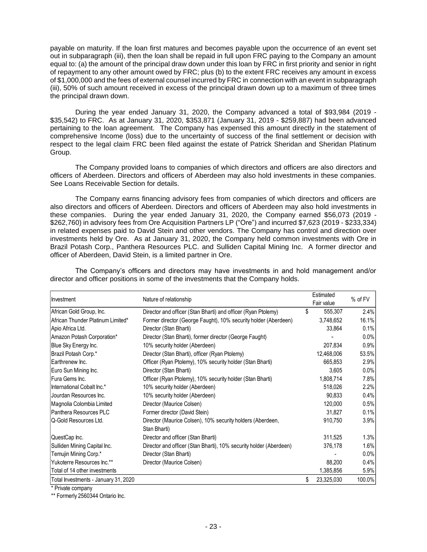payable on maturity. If the loan first matures and becomes payable upon the occurrence of an event set out in subparagraph (iii), then the loan shall be repaid in full upon FRC paying to the Company an amount equal to: (a) the amount of the principal draw down under this loan by FRC in first priority and senior in right of repayment to any other amount owed by FRC; plus (b) to the extent FRC receives any amount in excess of \$1,000,000 and the fees of external counsel incurred by FRC in connection with an event in subparagraph (iii), 50% of such amount received in excess of the principal drawn down up to a maximum of three times the principal drawn down.

During the year ended January 31, 2020, the Company advanced a total of \$93,984 (2019 - \$35,542) to FRC. As at January 31, 2020, \$353,871 (January 31, 2019 - \$259,887) had been advanced pertaining to the loan agreement. The Company has expensed this amount directly in the statement of comprehensive Income (loss) due to the uncertainty of success of the final settlement or decision with respect to the legal claim FRC been filed against the estate of Patrick Sheridan and Sheridan Platinum Group.

The Company provided loans to companies of which directors and officers are also directors and officers of Aberdeen. Directors and officers of Aberdeen may also hold investments in these companies. See Loans Receivable Section for details.

The Company earns financing advisory fees from companies of which directors and officers are also directors and officers of Aberdeen. Directors and officers of Aberdeen may also hold investments in these companies. During the year ended January 31, 2020, the Company earned \$56,073 (2019 - \$262,760) in advisory fees from Ore Acquisition Partners LP ("Ore") and incurred \$7,623 (2019 - \$233,334) in related expenses paid to David Stein and other vendors. The Company has control and direction over investments held by Ore. As at January 31, 2020, the Company held common investments with Ore in Brazil Potash Corp., Panthera Resources PLC. and Sulliden Capital Mining Inc. A former director and officer of Aberdeen, David Stein, is a limited partner in Ore.

| Investment                           | Nature of relationship                                                     | Estimated<br>Fair value | % of FV |
|--------------------------------------|----------------------------------------------------------------------------|-------------------------|---------|
| African Gold Group, Inc.             | Director and officer (Stan Bharti) and officer (Ryan Ptolemy)              | \$<br>555,307           | 2.4%    |
|                                      |                                                                            |                         |         |
| African Thunder Platinum Limited*    | Former director (George Faught), 10% security holder (Aberdeen)            | 3,748,652               | 16.1%   |
| Apio Africa Ltd.                     | Director (Stan Bharti)                                                     | 33,864                  | 0.1%    |
| Amazon Potash Corporation*           | Director (Stan Bharti), former director (George Faught)                    |                         | 0.0%    |
| Blue Sky Energy Inc.                 | 10% security holder (Aberdeen)                                             | 207,834                 | 0.9%    |
| Brazil Potash Corp.*                 | Director (Stan Bharti), officer (Ryan Ptolemy)                             | 12,468,006              | 53.5%   |
| Earthrenew Inc.                      | Officer (Ryan Ptolemy), 10% security holder (Stan Bharti)                  | 665,853                 | 2.9%    |
| Euro Sun Mining Inc.                 | Director (Stan Bharti)                                                     | 3,605                   | 0.0%    |
| Fura Gems Inc.                       | Officer (Ryan Ptolemy), 10% security holder (Stan Bharti)                  | 1,808,714               | 7.8%    |
| International Cobalt Inc.*           | 10% security holder (Aberdeen)                                             | 518,026                 | 2.2%    |
| Jourdan Resources Inc.               | 10% security holder (Aberdeen)                                             | 90,833                  | 0.4%    |
| Magnolia Colombia Limited            | Director (Maurice Colsen)                                                  | 120,000                 | 0.5%    |
| Panthera Resources PLC               | Former director (David Stein)                                              | 31,827                  | 0.1%    |
| Q-Gold Resources Ltd.                | Director (Maurice Colsen), 10% security holders (Aberdeen,<br>Stan Bharti) | 910,750                 | 3.9%    |
| QuestCap Inc.                        | Director and officer (Stan Bharti)                                         | 311,525                 | 1.3%    |
| Sulliden Mining Capital Inc.         | Director and officer (Stan Bharti), 10% security holder (Aberdeen)         | 376,178                 | 1.6%    |
| Temujin Mining Corp.*                | Director (Stan Bharti)                                                     |                         | 0.0%    |
| Yukoterre Resources Inc.**           | Director (Maurice Colsen)                                                  | 88,200                  | 0.4%    |
| Total of 14 other investments        |                                                                            | 1,385,856               | 5.9%    |
| Total Investments - January 31, 2020 |                                                                            | \$<br>23,325,030        | 100.0%  |

The Company's officers and directors may have investments in and hold management and/or director and officer positions in some of the investments that the Company holds.

\* Private company

\*\* Formerly 2560344 Ontario Inc.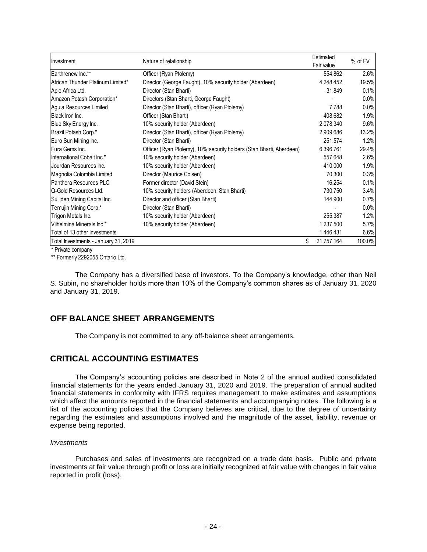| Investment                           |                                                                      | Estimated        | % of FV |
|--------------------------------------|----------------------------------------------------------------------|------------------|---------|
|                                      | Nature of relationship                                               | Fair value       |         |
| Earthrenew Inc.**                    | Officer (Ryan Ptolemy)                                               | 554,862          | 2.6%    |
| African Thunder Platinum Limited*    | Director (George Faught), 10% security holder (Aberdeen)             | 4,248,452        | 19.5%   |
| Apio Africa Ltd.                     | Director (Stan Bharti)                                               | 31,849           | 0.1%    |
| Amazon Potash Corporation*           | Directors (Stan Bharti, George Faught)                               |                  | 0.0%    |
| Aguia Resources Limited              | Director (Stan Bharti), officer (Ryan Ptolemy)                       | 7,788            | 0.0%    |
| Black Iron Inc.                      | Officer (Stan Bharti)                                                | 408.682          | 1.9%    |
| Blue Sky Energy Inc.                 | 10% security holder (Aberdeen)                                       | 2,078,340        | 9.6%    |
| Brazil Potash Corp.*                 | Director (Stan Bharti), officer (Ryan Ptolemy)                       | 2,909,686        | 13.2%   |
| Euro Sun Mining Inc.                 | Director (Stan Bharti)                                               | 251,574          | 1.2%    |
| Fura Gems Inc.                       | Officer (Ryan Ptolemy), 10% security holders (Stan Bharti, Aberdeen) | 6,396,761        | 29.4%   |
| International Cobalt Inc.*           | 10% security holder (Aberdeen)                                       | 557,648          | 2.6%    |
| Jourdan Resources Inc.               | 10% security holder (Aberdeen)                                       | 410,000          | 1.9%    |
| Magnolia Colombia Limited            | Director (Maurice Colsen)                                            | 70,300           | 0.3%    |
| Panthera Resources PLC               | Former director (David Stein)                                        | 16,254           | 0.1%    |
| Q-Gold Resources Ltd.                | 10% security holders (Aberdeen, Stan Bharti)                         | 730,750          | 3.4%    |
| Sulliden Mining Capital Inc.         | Director and officer (Stan Bharti)                                   | 144,900          | 0.7%    |
| Temujin Mining Corp.*                | Director (Stan Bharti)                                               |                  | 0.0%    |
| Trigon Metals Inc.                   | 10% security holder (Aberdeen)                                       | 255,387          | 1.2%    |
| Vilhelmina Minerals Inc.*            | 10% security holder (Aberdeen)                                       | 1,237,500        | $5.7\%$ |
| Total of 13 other investments        |                                                                      | 1,446,431        | 6.6%    |
| Total Investments - January 31, 2019 |                                                                      | \$<br>21,757,164 | 100.0%  |

\* Private company

\*\* Formerly 2292055 Ontario Ltd.

The Company has a diversified base of investors. To the Company's knowledge, other than Neil S. Subin, no shareholder holds more than 10% of the Company's common shares as of January 31, 2020 and January 31, 2019.

# **OFF BALANCE SHEET ARRANGEMENTS**

The Company is not committed to any off-balance sheet arrangements.

### **CRITICAL ACCOUNTING ESTIMATES**

The Company's accounting policies are described in Note 2 of the annual audited consolidated financial statements for the years ended January 31, 2020 and 2019. The preparation of annual audited financial statements in conformity with IFRS requires management to make estimates and assumptions which affect the amounts reported in the financial statements and accompanying notes. The following is a list of the accounting policies that the Company believes are critical, due to the degree of uncertainty regarding the estimates and assumptions involved and the magnitude of the asset, liability, revenue or expense being reported.

### *Investments*

Purchases and sales of investments are recognized on a trade date basis. Public and private investments at fair value through profit or loss are initially recognized at fair value with changes in fair value reported in profit (loss).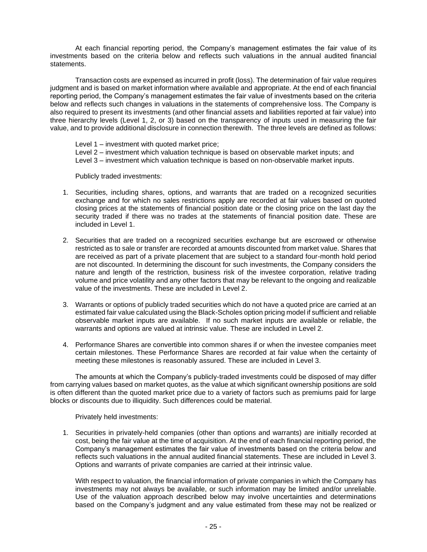At each financial reporting period, the Company's management estimates the fair value of its investments based on the criteria below and reflects such valuations in the annual audited financial statements.

Transaction costs are expensed as incurred in profit (loss). The determination of fair value requires judgment and is based on market information where available and appropriate. At the end of each financial reporting period, the Company's management estimates the fair value of investments based on the criteria below and reflects such changes in valuations in the statements of comprehensive loss. The Company is also required to present its investments (and other financial assets and liabilities reported at fair value) into three hierarchy levels (Level 1, 2, or 3) based on the transparency of inputs used in measuring the fair value, and to provide additional disclosure in connection therewith. The three levels are defined as follows:

Level 1 – investment with quoted market price; Level 2 – investment which valuation technique is based on observable market inputs; and Level 3 – investment which valuation technique is based on non-observable market inputs.

Publicly traded investments:

- 1. Securities, including shares, options, and warrants that are traded on a recognized securities exchange and for which no sales restrictions apply are recorded at fair values based on quoted closing prices at the statements of financial position date or the closing price on the last day the security traded if there was no trades at the statements of financial position date. These are included in Level 1.
- 2. Securities that are traded on a recognized securities exchange but are escrowed or otherwise restricted as to sale or transfer are recorded at amounts discounted from market value. Shares that are received as part of a private placement that are subject to a standard four-month hold period are not discounted. In determining the discount for such investments, the Company considers the nature and length of the restriction, business risk of the investee corporation, relative trading volume and price volatility and any other factors that may be relevant to the ongoing and realizable value of the investments. These are included in Level 2.
- 3. Warrants or options of publicly traded securities which do not have a quoted price are carried at an estimated fair value calculated using the Black-Scholes option pricing model if sufficient and reliable observable market inputs are available. If no such market inputs are available or reliable, the warrants and options are valued at intrinsic value. These are included in Level 2.
- 4. Performance Shares are convertible into common shares if or when the investee companies meet certain milestones. These Performance Shares are recorded at fair value when the certainty of meeting these milestones is reasonably assured. These are included in Level 3.

The amounts at which the Company's publicly-traded investments could be disposed of may differ from carrying values based on market quotes, as the value at which significant ownership positions are sold is often different than the quoted market price due to a variety of factors such as premiums paid for large blocks or discounts due to illiquidity. Such differences could be material.

Privately held investments:

1. Securities in privately-held companies (other than options and warrants) are initially recorded at cost, being the fair value at the time of acquisition. At the end of each financial reporting period, the Company's management estimates the fair value of investments based on the criteria below and reflects such valuations in the annual audited financial statements. These are included in Level 3. Options and warrants of private companies are carried at their intrinsic value.

With respect to valuation, the financial information of private companies in which the Company has investments may not always be available, or such information may be limited and/or unreliable. Use of the valuation approach described below may involve uncertainties and determinations based on the Company's judgment and any value estimated from these may not be realized or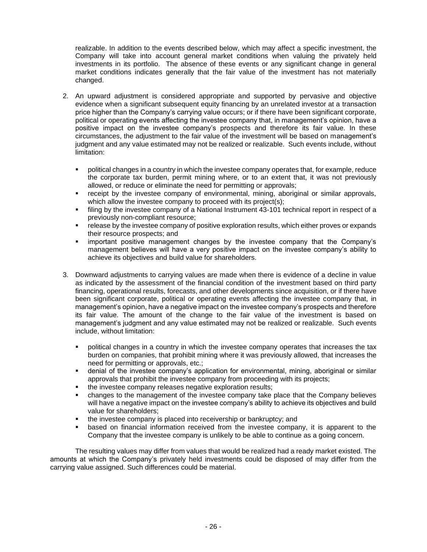realizable. In addition to the events described below, which may affect a specific investment, the Company will take into account general market conditions when valuing the privately held investments in its portfolio. The absence of these events or any significant change in general market conditions indicates generally that the fair value of the investment has not materially changed.

- 2. An upward adjustment is considered appropriate and supported by pervasive and objective evidence when a significant subsequent equity financing by an unrelated investor at a transaction price higher than the Company's carrying value occurs; or if there have been significant corporate, political or operating events affecting the investee company that, in management's opinion, have a positive impact on the investee company's prospects and therefore its fair value. In these circumstances, the adjustment to the fair value of the investment will be based on management's judgment and any value estimated may not be realized or realizable. Such events include, without limitation:
	- political changes in a country in which the investee company operates that, for example, reduce the corporate tax burden, permit mining where, or to an extent that, it was not previously allowed, or reduce or eliminate the need for permitting or approvals;
	- receipt by the investee company of environmental, mining, aboriginal or similar approvals, which allow the investee company to proceed with its project(s);
	- **•** filing by the investee company of a National Instrument 43-101 technical report in respect of a previously non-compliant resource;
	- **•** release by the investee company of positive exploration results, which either proves or expands their resource prospects; and
	- important positive management changes by the investee company that the Company's management believes will have a very positive impact on the investee company's ability to achieve its objectives and build value for shareholders.
- 3. Downward adjustments to carrying values are made when there is evidence of a decline in value as indicated by the assessment of the financial condition of the investment based on third party financing, operational results, forecasts, and other developments since acquisition, or if there have been significant corporate, political or operating events affecting the investee company that, in management's opinion, have a negative impact on the investee company's prospects and therefore its fair value. The amount of the change to the fair value of the investment is based on management's judgment and any value estimated may not be realized or realizable. Such events include, without limitation:
	- **•** political changes in a country in which the investee company operates that increases the tax burden on companies, that prohibit mining where it was previously allowed, that increases the need for permitting or approvals, etc.;
	- **•** denial of the investee company's application for environmental, mining, aboriginal or similar approvals that prohibit the investee company from proceeding with its projects;
	- the investee company releases negative exploration results;
	- changes to the management of the investee company take place that the Company believes will have a negative impact on the investee company's ability to achieve its objectives and build value for shareholders;
	- the investee company is placed into receivership or bankruptcy; and
	- based on financial information received from the investee company, it is apparent to the Company that the investee company is unlikely to be able to continue as a going concern.

The resulting values may differ from values that would be realized had a ready market existed. The amounts at which the Company's privately held investments could be disposed of may differ from the carrying value assigned. Such differences could be material.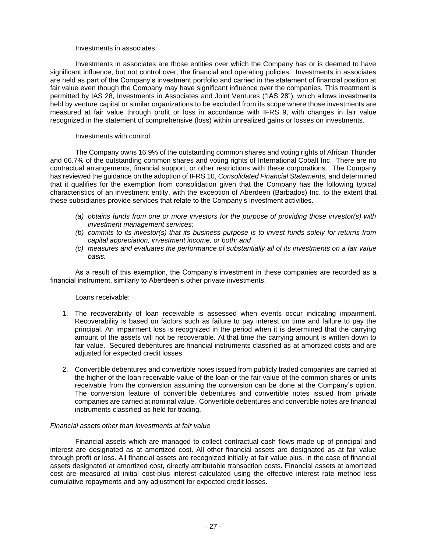### Investments in associates:

Investments in associates are those entities over which the Company has or is deemed to have significant influence, but not control over, the financial and operating policies. Investments in associates are held as part of the Company's investment portfolio and carried in the statement of financial position at fair value even though the Company may have significant influence over the companies. This treatment is permitted by IAS 28, Investments in Associates and Joint Ventures ("IAS 28"), which allows investments held by venture capital or similar organizations to be excluded from its scope where those investments are measured at fair value through profit or loss in accordance with IFRS 9, with changes in fair value recognized in the statement of comprehensive (loss) within unrealized gains or losses on investments.

### Investments with control:

The Company owns 16.9% of the outstanding common shares and voting rights of African Thunder and 66.7% of the outstanding common shares and voting rights of International Cobalt Inc. There are no contractual arrangements, financial support, or other restrictions with these corporations. The Company has reviewed the guidance on the adoption of IFRS 10, *Consolidated Financial Statements,* and determined that it qualifies for the exemption from consolidation given that the Company has the following typical characteristics of an investment entity, with the exception of Aberdeen (Barbados) Inc. to the extent that these subsidiaries provide services that relate to the Company's investment activities.

- *(a) obtains funds from one or more investors for the purpose of providing those investor(s) with investment management services;*
- *(b) commits to its investor(s) that its business purpose is to invest funds solely for returns from capital appreciation, investment income, or both; and*
- *(c) measures and evaluates the performance of substantially all of its investments on a fair value basis.*

As a result of this exemption, the Company's investment in these companies are recorded as a financial instrument, similarly to Aberdeen's other private investments.

### Loans receivable:

- 1. The recoverability of loan receivable is assessed when events occur indicating impairment. Recoverability is based on factors such as failure to pay interest on time and failure to pay the principal. An impairment loss is recognized in the period when it is determined that the carrying amount of the assets will not be recoverable. At that time the carrying amount is written down to fair value. Secured debentures are financial instruments classified as at amortized costs and are adjusted for expected credit losses.
- 2. Convertible debentures and convertible notes issued from publicly traded companies are carried at the higher of the loan receivable value of the loan or the fair value of the common shares or units receivable from the conversion assuming the conversion can be done at the Company's option. The conversion feature of convertible debentures and convertible notes issued from private companies are carried at nominal value. Convertible debentures and convertible notes are financial instruments classified as held for trading.

### *Financial assets other than investments at fair value*

Financial assets which are managed to collect contractual cash flows made up of principal and interest are designated as at amortized cost. All other financial assets are designated as at fair value through profit or loss. All financial assets are recognized initially at fair value plus, in the case of financial assets designated at amortized cost, directly attributable transaction costs. Financial assets at amortized cost are measured at initial cost-plus interest calculated using the effective interest rate method less cumulative repayments and any adjustment for expected credit losses.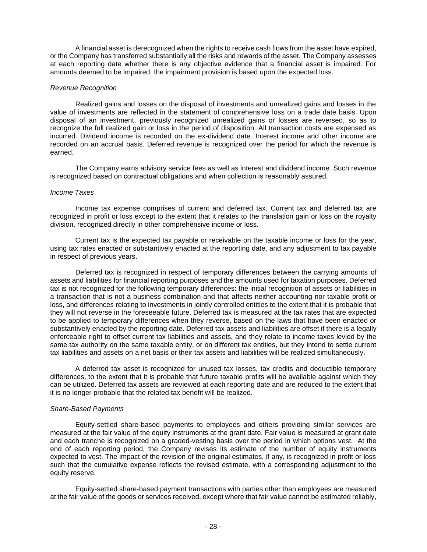A financial asset is derecognized when the rights to receive cash flows from the asset have expired, or the Company has transferred substantially all the risks and rewards of the asset. The Company assesses at each reporting date whether there is any objective evidence that a financial asset is impaired. For amounts deemed to be impaired, the impairment provision is based upon the expected loss.

### *Revenue Recognition*

Realized gains and losses on the disposal of investments and unrealized gains and losses in the value of investments are reflected in the statement of comprehensive loss on a trade date basis. Upon disposal of an investment, previously recognized unrealized gains or losses are reversed, so as to recognize the full realized gain or loss in the period of disposition. All transaction costs are expensed as incurred. Dividend income is recorded on the ex-dividend date. Interest income and other income are recorded on an accrual basis. Deferred revenue is recognized over the period for which the revenue is earned.

The Company earns advisory service fees as well as interest and dividend income. Such revenue is recognized based on contractual obligations and when collection is reasonably assured.

### *Income Taxes*

Income tax expense comprises of current and deferred tax. Current tax and deferred tax are recognized in profit or loss except to the extent that it relates to the translation gain or loss on the royalty division, recognized directly in other comprehensive income or loss.

Current tax is the expected tax payable or receivable on the taxable income or loss for the year, using tax rates enacted or substantively enacted at the reporting date, and any adjustment to tax payable in respect of previous years.

Deferred tax is recognized in respect of temporary differences between the carrying amounts of assets and liabilities for financial reporting purposes and the amounts used for taxation purposes. Deferred tax is not recognized for the following temporary differences: the initial recognition of assets or liabilities in a transaction that is not a business combination and that affects neither accounting nor taxable profit or loss, and differences relating to investments in jointly controlled entities to the extent that it is probable that they will not reverse in the foreseeable future. Deferred tax is measured at the tax rates that are expected to be applied to temporary differences when they reverse, based on the laws that have been enacted or substantively enacted by the reporting date. Deferred tax assets and liabilities are offset if there is a legally enforceable right to offset current tax liabilities and assets, and they relate to income taxes levied by the same tax authority on the same taxable entity, or on different tax entities, but they intend to settle current tax liabilities and assets on a net basis or their tax assets and liabilities will be realized simultaneously.

A deferred tax asset is recognized for unused tax losses, tax credits and deductible temporary differences, to the extent that it is probable that future taxable profits will be available against which they can be utilized. Deferred tax assets are reviewed at each reporting date and are reduced to the extent that it is no longer probable that the related tax benefit will be realized.

### *Share-Based Payments*

Equity-settled share-based payments to employees and others providing similar services are measured at the fair value of the equity instruments at the grant date. Fair value is measured at grant date and each tranche is recognized on a graded-vesting basis over the period in which options vest. At the end of each reporting period, the Company revises its estimate of the number of equity instruments expected to vest. The impact of the revision of the original estimates, if any, is recognized in profit or loss such that the cumulative expense reflects the revised estimate, with a corresponding adjustment to the equity reserve.

Equity-settled share-based payment transactions with parties other than employees are measured at the fair value of the goods or services received, except where that fair value cannot be estimated reliably,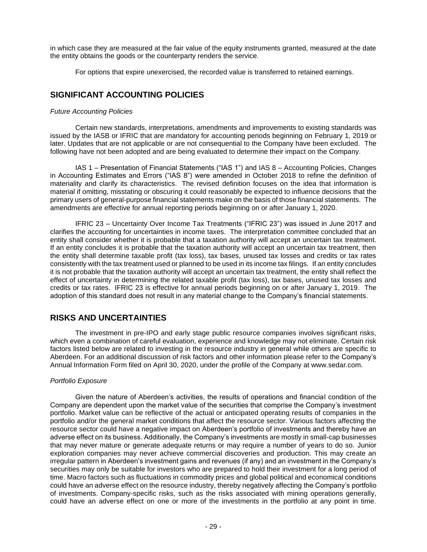in which case they are measured at the fair value of the equity instruments granted, measured at the date the entity obtains the goods or the counterparty renders the service.

For options that expire unexercised, the recorded value is transferred to retained earnings.

# **SIGNIFICANT ACCOUNTING POLICIES**

### *Future Accounting Policies*

Certain new standards, interpretations, amendments and improvements to existing standards was issued by the IASB or IFRIC that are mandatory for accounting periods beginning on February 1, 2019 or later. Updates that are not applicable or are not consequential to the Company have been excluded. The following have not been adopted and are being evaluated to determine their impact on the Company.

IAS 1 – Presentation of Financial Statements ("IAS 1") and IAS 8 – Accounting Policies, Changes in Accounting Estimates and Errors ("IAS 8") were amended in October 2018 to refine the definition of materiality and clarify its characteristics. The revised definition focuses on the idea that information is material if omitting, misstating or obscuring it could reasonably be expected to influence decisions that the primary users of general-purpose financial statements make on the basis of those financial statements. The amendments are effective for annual reporting periods beginning on or after January 1, 2020.

IFRIC 23 – Uncertainty Over Income Tax Treatments ("IFRIC 23") was issued in June 2017 and clarifies the accounting for uncertainties in income taxes. The interpretation committee concluded that an entity shall consider whether it is probable that a taxation authority will accept an uncertain tax treatment. If an entity concludes it is probable that the taxation authority will accept an uncertain tax treatment, then the entity shall determine taxable profit (tax loss), tax bases, unused tax losses and credits or tax rates consistently with the tax treatment used or planned to be used in its income tax filings. If an entity concludes it is not probable that the taxation authority will accept an uncertain tax treatment, the entity shall reflect the effect of uncertainty in determining the related taxable profit (tax loss), tax bases, unused tax losses and credits or tax rates. IFRIC 23 is effective for annual periods beginning on or after January 1, 2019. The adoption of this standard does not result in any material change to the Company's financial statements.

# **RISKS AND UNCERTAINTIES**

The investment in pre-IPO and early stage public resource companies involves significant risks, which even a combination of careful evaluation, experience and knowledge may not eliminate. Certain risk factors listed below are related to investing in the resource industry in general while others are specific to Aberdeen. For an additional discussion of risk factors and other information please refer to the Company's Annual Information Form filed on April 30, 2020, under the profile of the Company at www.sedar.com.

### *Portfolio Exposure*

Given the nature of Aberdeen's activities, the results of operations and financial condition of the Company are dependent upon the market value of the securities that comprise the Company's investment portfolio. Market value can be reflective of the actual or anticipated operating results of companies in the portfolio and/or the general market conditions that affect the resource sector. Various factors affecting the resource sector could have a negative impact on Aberdeen's portfolio of investments and thereby have an adverse effect on its business. Additionally, the Company's investments are mostly in small-cap businesses that may never mature or generate adequate returns or may require a number of years to do so. Junior exploration companies may never achieve commercial discoveries and production. This may create an irregular pattern in Aberdeen's investment gains and revenues (if any) and an investment in the Company's securities may only be suitable for investors who are prepared to hold their investment for a long period of time. Macro factors such as fluctuations in commodity prices and global political and economical conditions could have an adverse effect on the resource industry, thereby negatively affecting the Company's portfolio of investments. Company-specific risks, such as the risks associated with mining operations generally, could have an adverse effect on one or more of the investments in the portfolio at any point in time.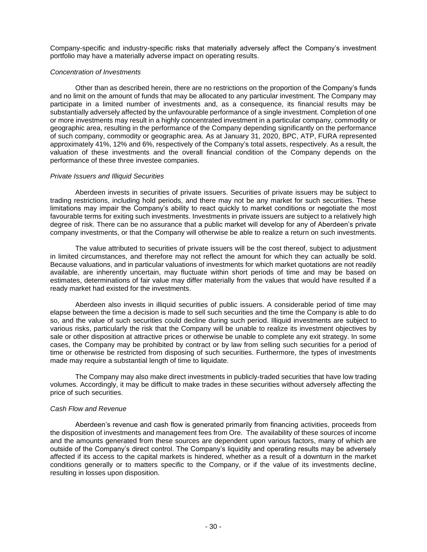Company-specific and industry-specific risks that materially adversely affect the Company's investment portfolio may have a materially adverse impact on operating results.

### *Concentration of Investments*

Other than as described herein, there are no restrictions on the proportion of the Company's funds and no limit on the amount of funds that may be allocated to any particular investment. The Company may participate in a limited number of investments and, as a consequence, its financial results may be substantially adversely affected by the unfavourable performance of a single investment. Completion of one or more investments may result in a highly concentrated investment in a particular company, commodity or geographic area, resulting in the performance of the Company depending significantly on the performance of such company, commodity or geographic area. As at January 31, 2020, BPC, ATP, FURA represented approximately 41%, 12% and 6%, respectively of the Company's total assets, respectively. As a result, the valuation of these investments and the overall financial condition of the Company depends on the performance of these three investee companies.

### *Private Issuers and Illiquid Securities*

Aberdeen invests in securities of private issuers. Securities of private issuers may be subject to trading restrictions, including hold periods, and there may not be any market for such securities. These limitations may impair the Company's ability to react quickly to market conditions or negotiate the most favourable terms for exiting such investments. Investments in private issuers are subject to a relatively high degree of risk. There can be no assurance that a public market will develop for any of Aberdeen's private company investments, or that the Company will otherwise be able to realize a return on such investments.

The value attributed to securities of private issuers will be the cost thereof, subject to adjustment in limited circumstances, and therefore may not reflect the amount for which they can actually be sold. Because valuations, and in particular valuations of investments for which market quotations are not readily available, are inherently uncertain, may fluctuate within short periods of time and may be based on estimates, determinations of fair value may differ materially from the values that would have resulted if a ready market had existed for the investments.

Aberdeen also invests in illiquid securities of public issuers. A considerable period of time may elapse between the time a decision is made to sell such securities and the time the Company is able to do so, and the value of such securities could decline during such period. Illiquid investments are subject to various risks, particularly the risk that the Company will be unable to realize its investment objectives by sale or other disposition at attractive prices or otherwise be unable to complete any exit strategy. In some cases, the Company may be prohibited by contract or by law from selling such securities for a period of time or otherwise be restricted from disposing of such securities. Furthermore, the types of investments made may require a substantial length of time to liquidate.

The Company may also make direct investments in publicly-traded securities that have low trading volumes. Accordingly, it may be difficult to make trades in these securities without adversely affecting the price of such securities.

### *Cash Flow and Revenue*

Aberdeen's revenue and cash flow is generated primarily from financing activities, proceeds from the disposition of investments and management fees from Ore. The availability of these sources of income and the amounts generated from these sources are dependent upon various factors, many of which are outside of the Company's direct control. The Company's liquidity and operating results may be adversely affected if its access to the capital markets is hindered, whether as a result of a downturn in the market conditions generally or to matters specific to the Company, or if the value of its investments decline, resulting in losses upon disposition.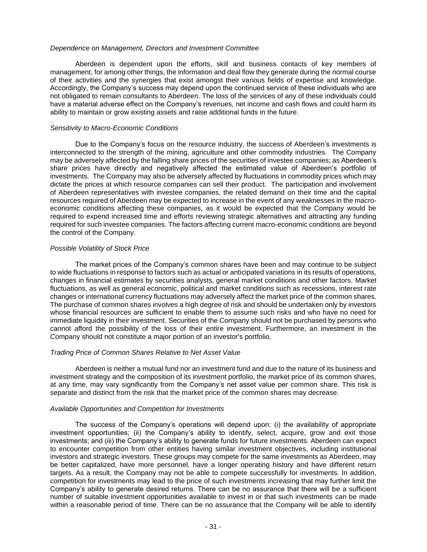### *Dependence on Management, Directors and Investment Committee*

Aberdeen is dependent upon the efforts, skill and business contacts of key members of management, for among other things, the information and deal flow they generate during the normal course of their activities and the synergies that exist amongst their various fields of expertise and knowledge. Accordingly, the Company's success may depend upon the continued service of these individuals who are not obligated to remain consultants to Aberdeen. The loss of the services of any of these individuals could have a material adverse effect on the Company's revenues, net income and cash flows and could harm its ability to maintain or grow existing assets and raise additional funds in the future.

### *Sensitivity to Macro-Economic Conditions*

Due to the Company's focus on the resource industry, the success of Aberdeen's investments is interconnected to the strength of the mining, agriculture and other commodity industries. The Company may be adversely affected by the falling share prices of the securities of investee companies; as Aberdeen's share prices have directly and negatively affected the estimated value of Aberdeen's portfolio of investments. The Company may also be adversely affected by fluctuations in commodity prices which may dictate the prices at which resource companies can sell their product. The participation and involvement of Aberdeen representatives with investee companies, the related demand on their time and the capital resources required of Aberdeen may be expected to increase in the event of any weaknesses in the macroeconomic conditions affecting these companies, as it would be expected that the Company would be required to expend increased time and efforts reviewing strategic alternatives and attracting any funding required for such investee companies. The factors affecting current macro-economic conditions are beyond the control of the Company.

### *Possible Volatility of Stock Price*

The market prices of the Company's common shares have been and may continue to be subject to wide fluctuations in response to factors such as actual or anticipated variations in its results of operations, changes in financial estimates by securities analysts, general market conditions and other factors. Market fluctuations, as well as general economic, political and market conditions such as recessions, interest rate changes or international currency fluctuations may adversely affect the market price of the common shares. The purchase of common shares involves a high degree of risk and should be undertaken only by investors whose financial resources are sufficient to enable them to assume such risks and who have no need for immediate liquidity in their investment. Securities of the Company should not be purchased by persons who cannot afford the possibility of the loss of their entire investment. Furthermore, an investment in the Company should not constitute a major portion of an investor's portfolio.

### *Trading Price of Common Shares Relative to Net Asset Value*

Aberdeen is neither a mutual fund nor an investment fund and due to the nature of its business and investment strategy and the composition of its investment portfolio, the market price of its common shares, at any time, may vary significantly from the Company's net asset value per common share. This risk is separate and distinct from the risk that the market price of the common shares may decrease.

### *Available Opportunities and Competition for Investments*

The success of the Company's operations will depend upon: (i) the availability of appropriate investment opportunities; (ii) the Company's ability to identify, select, acquire, grow and exit those investments; and (iii) the Company's ability to generate funds for future investments. Aberdeen can expect to encounter competition from other entities having similar investment objectives, including institutional investors and strategic investors. These groups may compete for the same investments as Aberdeen, may be better capitalized, have more personnel, have a longer operating history and have different return targets. As a result, the Company may not be able to compete successfully for investments. In addition, competition for investments may lead to the price of such investments increasing that may further limit the Company's ability to generate desired returns. There can be no assurance that there will be a sufficient number of suitable investment opportunities available to invest in or that such investments can be made within a reasonable period of time. There can be no assurance that the Company will be able to identify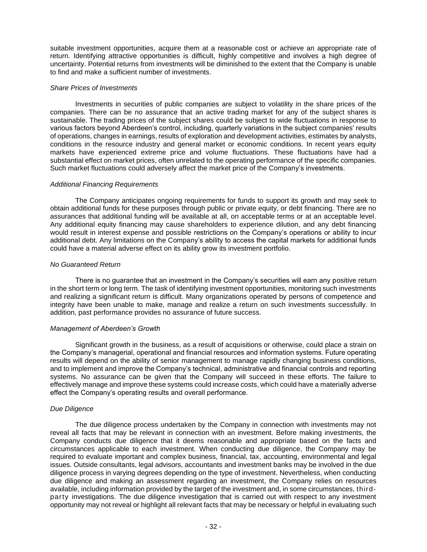suitable investment opportunities, acquire them at a reasonable cost or achieve an appropriate rate of return. Identifying attractive opportunities is difficult, highly competitive and involves a high degree of uncertainty. Potential returns from investments will be diminished to the extent that the Company is unable to find and make a sufficient number of investments.

### *Share Prices of Investments*

Investments in securities of public companies are subject to volatility in the share prices of the companies. There can be no assurance that an active trading market for any of the subject shares is sustainable. The trading prices of the subject shares could be subject to wide fluctuations in response to various factors beyond Aberdeen's control, including, quarterly variations in the subject companies' results of operations, changes in earnings, results of exploration and development activities, estimates by analysts, conditions in the resource industry and general market or economic conditions. In recent years equity markets have experienced extreme price and volume fluctuations. These fluctuations have had a substantial effect on market prices, often unrelated to the operating performance of the specific companies. Such market fluctuations could adversely affect the market price of the Company's investments.

### *Additional Financing Requirements*

The Company anticipates ongoing requirements for funds to support its growth and may seek to obtain additional funds for these purposes through public or private equity, or debt financing. There are no assurances that additional funding will be available at all, on acceptable terms or at an acceptable level. Any additional equity financing may cause shareholders to experience dilution, and any debt financing would result in interest expense and possible restrictions on the Company's operations or ability to incur additional debt. Any limitations on the Company's ability to access the capital markets for additional funds could have a material adverse effect on its ability grow its investment portfolio.

### *No Guaranteed Return*

There is no guarantee that an investment in the Company's securities will earn any positive return in the short term or long term. The task of identifying investment opportunities, monitoring such investments and realizing a significant return is difficult. Many organizations operated by persons of competence and integrity have been unable to make, manage and realize a return on such investments successfully. In addition, past performance provides no assurance of future success.

### *Management of Aberdeen's Growth*

Significant growth in the business, as a result of acquisitions or otherwise, could place a strain on the Company's managerial, operational and financial resources and information systems. Future operating results will depend on the ability of senior management to manage rapidly changing business conditions, and to implement and improve the Company's technical, administrative and financial controls and reporting systems. No assurance can be given that the Company will succeed in these efforts. The failure to effectively manage and improve these systems could increase costs, which could have a materially adverse effect the Company's operating results and overall performance.

### *Due Diligence*

The due diligence process undertaken by the Company in connection with investments may not reveal all facts that may be relevant in connection with an investment. Before making investments, the Company conducts due diligence that it deems reasonable and appropriate based on the facts and circumstances applicable to each investment. When conducting due diligence, the Company may be required to evaluate important and complex business, financial, tax, accounting, environmental and legal issues. Outside consultants, legal advisors, accountants and investment banks may be involved in the due diligence process in varying degrees depending on the type of investment. Nevertheless, when conducting due diligence and making an assessment regarding an investment, the Company relies on resources available, including information provided by the target of the investment and, in some circumstances, thirdparty investigations. The due diligence investigation that is carried out with respect to any investment opportunity may not reveal or highlight all relevant facts that may be necessary or helpful in evaluating such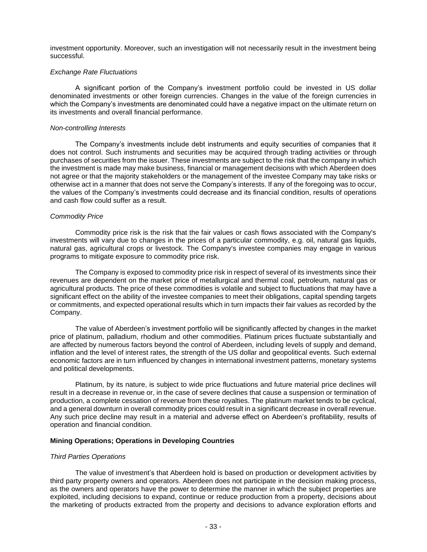investment opportunity. Moreover, such an investigation will not necessarily result in the investment being successful.

### *Exchange Rate Fluctuations*

A significant portion of the Company's investment portfolio could be invested in US dollar denominated investments or other foreign currencies. Changes in the value of the foreign currencies in which the Company's investments are denominated could have a negative impact on the ultimate return on its investments and overall financial performance.

### *Non-controlling Interests*

The Company's investments include debt instruments and equity securities of companies that it does not control. Such instruments and securities may be acquired through trading activities or through purchases of securities from the issuer. These investments are subject to the risk that the company in which the investment is made may make business, financial or management decisions with which Aberdeen does not agree or that the majority stakeholders or the management of the investee Company may take risks or otherwise act in a manner that does not serve the Company's interests. If any of the foregoing was to occur, the values of the Company's investments could decrease and its financial condition, results of operations and cash flow could suffer as a result.

### *Commodity Price*

Commodity price risk is the risk that the fair values or cash flows associated with the Company's investments will vary due to changes in the prices of a particular commodity, e.g. oil, natural gas liquids, natural gas, agricultural crops or livestock. The Company's investee companies may engage in various programs to mitigate exposure to commodity price risk.

The Company is exposed to commodity price risk in respect of several of its investments since their revenues are dependent on the market price of metallurgical and thermal coal, petroleum, natural gas or agricultural products. The price of these commodities is volatile and subject to fluctuations that may have a significant effect on the ability of the investee companies to meet their obligations, capital spending targets or commitments, and expected operational results which in turn impacts their fair values as recorded by the Company.

The value of Aberdeen's investment portfolio will be significantly affected by changes in the market price of platinum, palladium, rhodium and other commodities. Platinum prices fluctuate substantially and are affected by numerous factors beyond the control of Aberdeen, including levels of supply and demand, inflation and the level of interest rates, the strength of the US dollar and geopolitical events. Such external economic factors are in turn influenced by changes in international investment patterns, monetary systems and political developments.

Platinum, by its nature, is subject to wide price fluctuations and future material price declines will result in a decrease in revenue or, in the case of severe declines that cause a suspension or termination of production, a complete cessation of revenue from these royalties. The platinum market tends to be cyclical, and a general downturn in overall commodity prices could result in a significant decrease in overall revenue. Any such price decline may result in a material and adverse effect on Aberdeen's profitability, results of operation and financial condition.

### **Mining Operations; Operations in Developing Countries**

### *Third Parties Operations*

The value of investment's that Aberdeen hold is based on production or development activities by third party property owners and operators. Aberdeen does not participate in the decision making process, as the owners and operators have the power to determine the manner in which the subject properties are exploited, including decisions to expand, continue or reduce production from a property, decisions about the marketing of products extracted from the property and decisions to advance exploration efforts and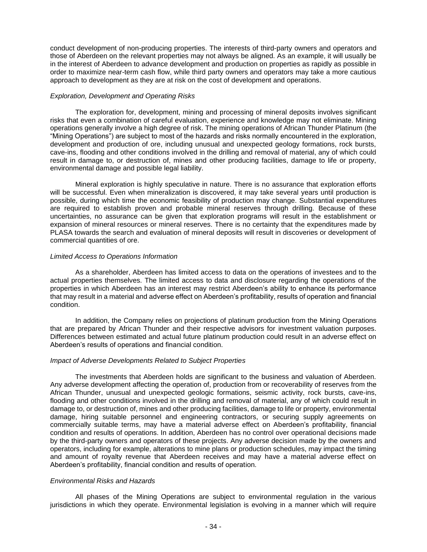conduct development of non-producing properties. The interests of third-party owners and operators and those of Aberdeen on the relevant properties may not always be aligned. As an example, it will usually be in the interest of Aberdeen to advance development and production on properties as rapidly as possible in order to maximize near-term cash flow, while third party owners and operators may take a more cautious approach to development as they are at risk on the cost of development and operations.

### *Exploration, Development and Operating Risks*

The exploration for, development, mining and processing of mineral deposits involves significant risks that even a combination of careful evaluation, experience and knowledge may not eliminate. Mining operations generally involve a high degree of risk. The mining operations of African Thunder Platinum (the "Mining Operations") are subject to most of the hazards and risks normally encountered in the exploration, development and production of ore, including unusual and unexpected geology formations, rock bursts, cave-ins, flooding and other conditions involved in the drilling and removal of material, any of which could result in damage to, or destruction of, mines and other producing facilities, damage to life or property, environmental damage and possible legal liability.

Mineral exploration is highly speculative in nature. There is no assurance that exploration efforts will be successful. Even when mineralization is discovered, it may take several years until production is possible, during which time the economic feasibility of production may change. Substantial expenditures are required to establish proven and probable mineral reserves through drilling. Because of these uncertainties, no assurance can be given that exploration programs will result in the establishment or expansion of mineral resources or mineral reserves. There is no certainty that the expenditures made by PLASA towards the search and evaluation of mineral deposits will result in discoveries or development of commercial quantities of ore.

### *Limited Access to Operations Information*

As a shareholder, Aberdeen has limited access to data on the operations of investees and to the actual properties themselves. The limited access to data and disclosure regarding the operations of the properties in which Aberdeen has an interest may restrict Aberdeen's ability to enhance its performance that may result in a material and adverse effect on Aberdeen's profitability, results of operation and financial condition.

In addition, the Company relies on projections of platinum production from the Mining Operations that are prepared by African Thunder and their respective advisors for investment valuation purposes. Differences between estimated and actual future platinum production could result in an adverse effect on Aberdeen's results of operations and financial condition.

### *Impact of Adverse Developments Related to Subject Properties*

The investments that Aberdeen holds are significant to the business and valuation of Aberdeen. Any adverse development affecting the operation of, production from or recoverability of reserves from the African Thunder, unusual and unexpected geologic formations, seismic activity, rock bursts, cave-ins, flooding and other conditions involved in the drilling and removal of material, any of which could result in damage to, or destruction of, mines and other producing facilities, damage to life or property, environmental damage, hiring suitable personnel and engineering contractors, or securing supply agreements on commercially suitable terms, may have a material adverse effect on Aberdeen's profitability, financial condition and results of operations. In addition, Aberdeen has no control over operational decisions made by the third-party owners and operators of these projects. Any adverse decision made by the owners and operators, including for example, alterations to mine plans or production schedules, may impact the timing and amount of royalty revenue that Aberdeen receives and may have a material adverse effect on Aberdeen's profitability, financial condition and results of operation.

### *Environmental Risks and Hazards*

All phases of the Mining Operations are subject to environmental regulation in the various jurisdictions in which they operate. Environmental legislation is evolving in a manner which will require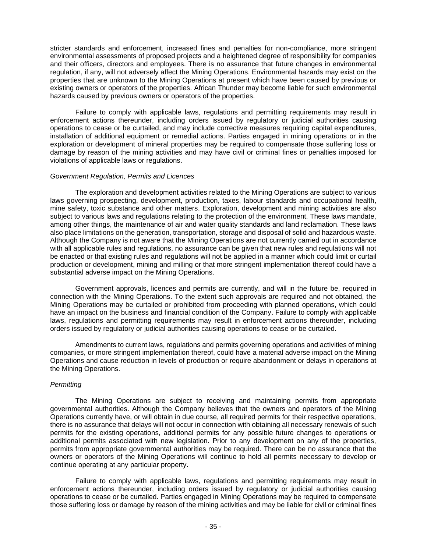stricter standards and enforcement, increased fines and penalties for non-compliance, more stringent environmental assessments of proposed projects and a heightened degree of responsibility for companies and their officers, directors and employees. There is no assurance that future changes in environmental regulation, if any, will not adversely affect the Mining Operations. Environmental hazards may exist on the properties that are unknown to the Mining Operations at present which have been caused by previous or existing owners or operators of the properties. African Thunder may become liable for such environmental hazards caused by previous owners or operators of the properties.

Failure to comply with applicable laws, regulations and permitting requirements may result in enforcement actions thereunder, including orders issued by regulatory or judicial authorities causing operations to cease or be curtailed, and may include corrective measures requiring capital expenditures, installation of additional equipment or remedial actions. Parties engaged in mining operations or in the exploration or development of mineral properties may be required to compensate those suffering loss or damage by reason of the mining activities and may have civil or criminal fines or penalties imposed for violations of applicable laws or regulations.

### *Government Regulation, Permits and Licences*

The exploration and development activities related to the Mining Operations are subject to various laws governing prospecting, development, production, taxes, labour standards and occupational health, mine safety, toxic substance and other matters. Exploration, development and mining activities are also subject to various laws and regulations relating to the protection of the environment. These laws mandate, among other things, the maintenance of air and water quality standards and land reclamation. These laws also place limitations on the generation, transportation, storage and disposal of solid and hazardous waste. Although the Company is not aware that the Mining Operations are not currently carried out in accordance with all applicable rules and regulations, no assurance can be given that new rules and regulations will not be enacted or that existing rules and regulations will not be applied in a manner which could limit or curtail production or development, mining and milling or that more stringent implementation thereof could have a substantial adverse impact on the Mining Operations.

Government approvals, licences and permits are currently, and will in the future be, required in connection with the Mining Operations. To the extent such approvals are required and not obtained, the Mining Operations may be curtailed or prohibited from proceeding with planned operations, which could have an impact on the business and financial condition of the Company. Failure to comply with applicable laws, regulations and permitting requirements may result in enforcement actions thereunder, including orders issued by regulatory or judicial authorities causing operations to cease or be curtailed.

Amendments to current laws, regulations and permits governing operations and activities of mining companies, or more stringent implementation thereof, could have a material adverse impact on the Mining Operations and cause reduction in levels of production or require abandonment or delays in operations at the Mining Operations.

### *Permitting*

The Mining Operations are subject to receiving and maintaining permits from appropriate governmental authorities. Although the Company believes that the owners and operators of the Mining Operations currently have, or will obtain in due course, all required permits for their respective operations, there is no assurance that delays will not occur in connection with obtaining all necessary renewals of such permits for the existing operations, additional permits for any possible future changes to operations or additional permits associated with new legislation. Prior to any development on any of the properties, permits from appropriate governmental authorities may be required. There can be no assurance that the owners or operators of the Mining Operations will continue to hold all permits necessary to develop or continue operating at any particular property.

Failure to comply with applicable laws, regulations and permitting requirements may result in enforcement actions thereunder, including orders issued by regulatory or judicial authorities causing operations to cease or be curtailed. Parties engaged in Mining Operations may be required to compensate those suffering loss or damage by reason of the mining activities and may be liable for civil or criminal fines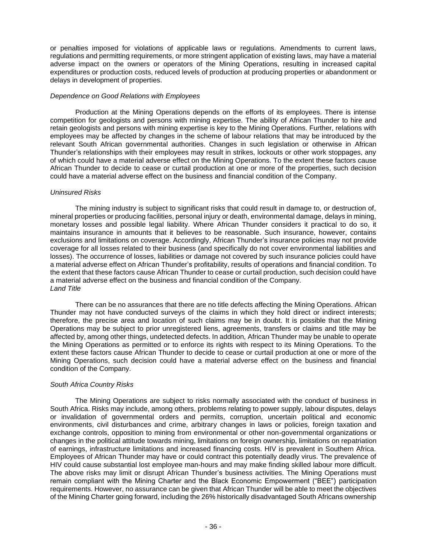or penalties imposed for violations of applicable laws or regulations. Amendments to current laws, regulations and permitting requirements, or more stringent application of existing laws, may have a material adverse impact on the owners or operators of the Mining Operations, resulting in increased capital expenditures or production costs, reduced levels of production at producing properties or abandonment or delays in development of properties.

### *Dependence on Good Relations with Employees*

Production at the Mining Operations depends on the efforts of its employees. There is intense competition for geologists and persons with mining expertise. The ability of African Thunder to hire and retain geologists and persons with mining expertise is key to the Mining Operations. Further, relations with employees may be affected by changes in the scheme of labour relations that may be introduced by the relevant South African governmental authorities. Changes in such legislation or otherwise in African Thunder's relationships with their employees may result in strikes, lockouts or other work stoppages, any of which could have a material adverse effect on the Mining Operations. To the extent these factors cause African Thunder to decide to cease or curtail production at one or more of the properties, such decision could have a material adverse effect on the business and financial condition of the Company.

### *Uninsured Risks*

The mining industry is subject to significant risks that could result in damage to, or destruction of, mineral properties or producing facilities, personal injury or death, environmental damage, delays in mining, monetary losses and possible legal liability. Where African Thunder considers it practical to do so, it maintains insurance in amounts that it believes to be reasonable. Such insurance, however, contains exclusions and limitations on coverage. Accordingly, African Thunder's insurance policies may not provide coverage for all losses related to their business (and specifically do not cover environmental liabilities and losses). The occurrence of losses, liabilities or damage not covered by such insurance policies could have a material adverse effect on African Thunder's profitability, results of operations and financial condition. To the extent that these factors cause African Thunder to cease or curtail production, such decision could have a material adverse effect on the business and financial condition of the Company. *Land Title*

There can be no assurances that there are no title defects affecting the Mining Operations. African Thunder may not have conducted surveys of the claims in which they hold direct or indirect interests; therefore, the precise area and location of such claims may be in doubt. It is possible that the Mining Operations may be subject to prior unregistered liens, agreements, transfers or claims and title may be affected by, among other things, undetected defects. In addition, African Thunder may be unable to operate the Mining Operations as permitted or to enforce its rights with respect to its Mining Operations. To the extent these factors cause African Thunder to decide to cease or curtail production at one or more of the Mining Operations, such decision could have a material adverse effect on the business and financial condition of the Company.

### *South Africa Country Risks*

 The Mining Operations are subject to risks normally associated with the conduct of business in South Africa. Risks may include, among others, problems relating to power supply, labour disputes, delays or invalidation of governmental orders and permits, corruption, uncertain political and economic environments, civil disturbances and crime, arbitrary changes in laws or policies, foreign taxation and exchange controls, opposition to mining from environmental or other non-governmental organizations or changes in the political attitude towards mining, limitations on foreign ownership, limitations on repatriation of earnings, infrastructure limitations and increased financing costs. HIV is prevalent in Southern Africa. Employees of African Thunder may have or could contract this potentially deadly virus. The prevalence of HIV could cause substantial lost employee man-hours and may make finding skilled labour more difficult. The above risks may limit or disrupt African Thunder's business activities. The Mining Operations must remain compliant with the Mining Charter and the Black Economic Empowerment ("BEE") participation requirements. However, no assurance can be given that African Thunder will be able to meet the objectives of the Mining Charter going forward, including the 26% historically disadvantaged South Africans ownership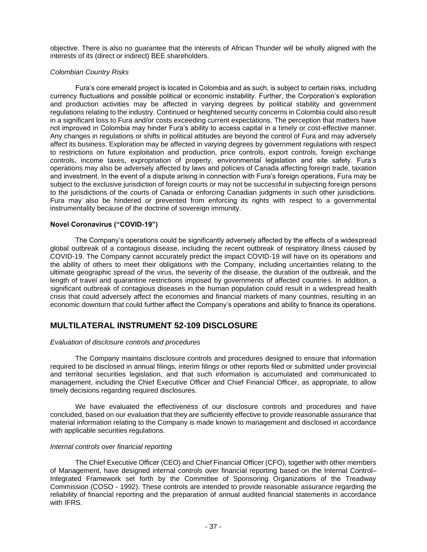objective. There is also no guarantee that the interests of African Thunder will be wholly aligned with the interests of its (direct or indirect) BEE shareholders.

### *Colombian Country Risks*

Fura's core emerald project is located in Colombia and as such, is subject to certain risks, including currency fluctuations and possible political or economic instability. Further, the Corporation's exploration and production activities may be affected in varying degrees by political stability and government regulations relating to the industry. Continued or heightened security concerns in Colombia could also result in a significant loss to Fura and/or costs exceeding current expectations. The perception that matters have not improved in Colombia may hinder Fura's ability to access capital in a timely or cost-effective manner. Any changes in regulations or shifts in political attitudes are beyond the control of Fura and may adversely affect its business. Exploration may be affected in varying degrees by government regulations with respect to restrictions on future exploitation and production, price controls, export controls, foreign exchange controls, income taxes, expropriation of property, environmental legislation and site safety. Fura's operations may also be adversely affected by laws and policies of Canada affecting foreign trade, taxation and investment. In the event of a dispute arising in connection with Fura's foreign operations, Fura may be subject to the exclusive jurisdiction of foreign courts or may not be successful in subjecting foreign persons to the jurisdictions of the courts of Canada or enforcing Canadian judgments in such other jurisdictions. Fura may also be hindered or prevented from enforcing its rights with respect to a governmental instrumentality because of the doctrine of sovereign immunity.

### **Novel Coronavirus ("COVID-19")**

The Company's operations could be significantly adversely affected by the effects of a widespread global outbreak of a contagious disease, including the recent outbreak of respiratory illness caused by COVID-19. The Company cannot accurately predict the impact COVID-19 will have on its operations and the ability of others to meet their obligations with the Company, including uncertainties relating to the ultimate geographic spread of the virus, the severity of the disease, the duration of the outbreak, and the length of travel and quarantine restrictions imposed by governments of affected countries. In addition, a significant outbreak of contagious diseases in the human population could result in a widespread health crisis that could adversely affect the economies and financial markets of many countries, resulting in an economic downturn that could further affect the Company's operations and ability to finance its operations.

# **MULTILATERAL INSTRUMENT 52-109 DISCLOSURE**

### *Evaluation of disclosure controls and procedures*

The Company maintains disclosure controls and procedures designed to ensure that information required to be disclosed in annual filings, interim filings or other reports filed or submitted under provincial and territorial securities legislation, and that such information is accumulated and communicated to management, including the Chief Executive Officer and Chief Financial Officer, as appropriate, to allow timely decisions regarding required disclosures.

We have evaluated the effectiveness of our disclosure controls and procedures and have concluded, based on our evaluation that they are sufficiently effective to provide reasonable assurance that material information relating to the Company is made known to management and disclosed in accordance with applicable securities regulations.

### *Internal controls over financial reporting*

The Chief Executive Officer (CEO) and Chief Financial Officer (CFO), together with other members of Management, have designed internal controls over financial reporting based on the Internal Control– Integrated Framework set forth by the Committee of Sponsoring Organizations of the Treadway Commission (COSO - 1992). These controls are intended to provide reasonable assurance regarding the reliability of financial reporting and the preparation of annual audited financial statements in accordance with IFRS.